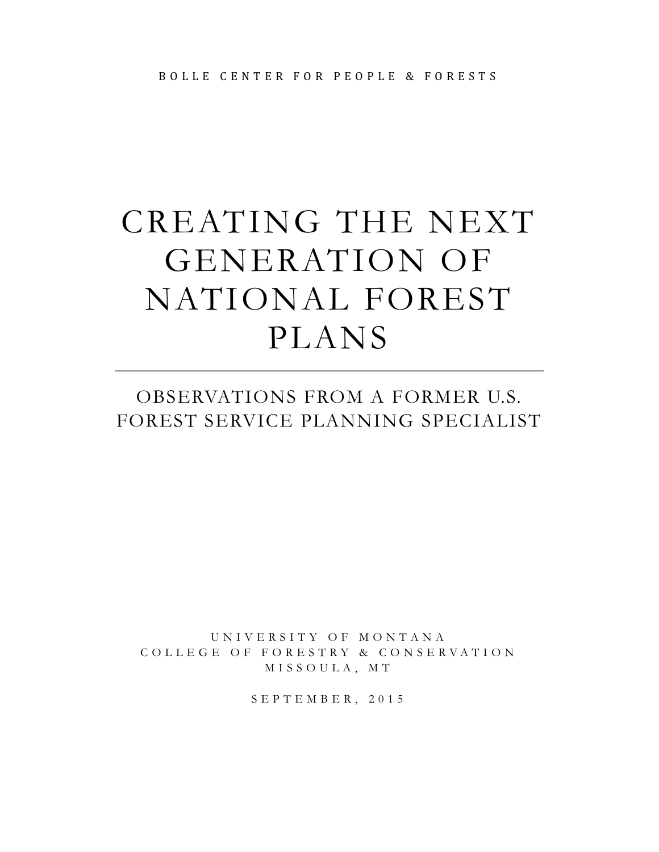# CREATING THE NEXT GENERATION OF NATIONAL FOREST PLANS

### OBSERVATIONS FROM A FORMER U.S. FOREST SERVICE PLANNING SPECIALIST

UNIVERSITY OF MONTANA COLLEGE OF FORESTRY & CONSERVATION MISSOULA, MT

SEPTEMBER, 2015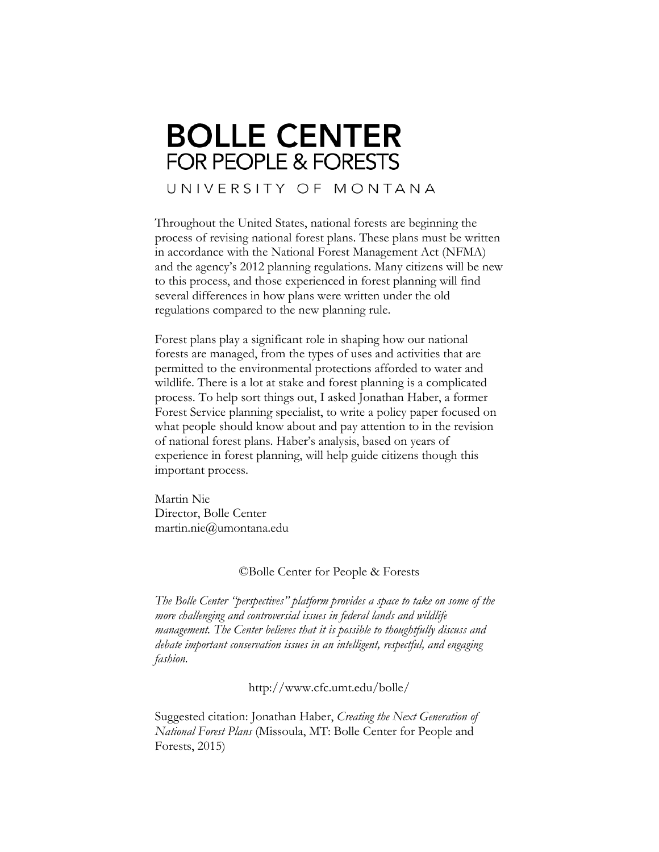## **BOLLE CENTER FOR PEOPLE & FORESTS**

UNIVERSITY OF MONTANA

Throughout the United States, national forests are beginning the process of revising national forest plans. These plans must be written in accordance with the National Forest Management Act (NFMA) and the agency's 2012 planning regulations. Many citizens will be new to this process, and those experienced in forest planning will find several differences in how plans were written under the old regulations compared to the new planning rule.

Forest plans play a significant role in shaping how our national forests are managed, from the types of uses and activities that are permitted to the environmental protections afforded to water and wildlife. There is a lot at stake and forest planning is a complicated process. To help sort things out, I asked Jonathan Haber, a former Forest Service planning specialist, to write a policy paper focused on what people should know about and pay attention to in the revision of national forest plans. Haber's analysis, based on years of experience in forest planning, will help guide citizens though this important process.

Martin Nie Director, Bolle Center martin.nie@umontana.edu

#### ©Bolle Center for People & Forests

*The Bolle Center "perspectives" platform provides a space to take on some of the more challenging and controversial issues in federal lands and wildlife management. The Center believes that it is possible to thoughtfully discuss and debate important conservation issues in an intelligent, respectful, and engaging fashion.* 

http://www.cfc.umt.edu/bolle/

Suggested citation: Jonathan Haber, *Creating the Next Generation of National Forest Plans* (Missoula, MT: Bolle Center for People and Forests, 2015)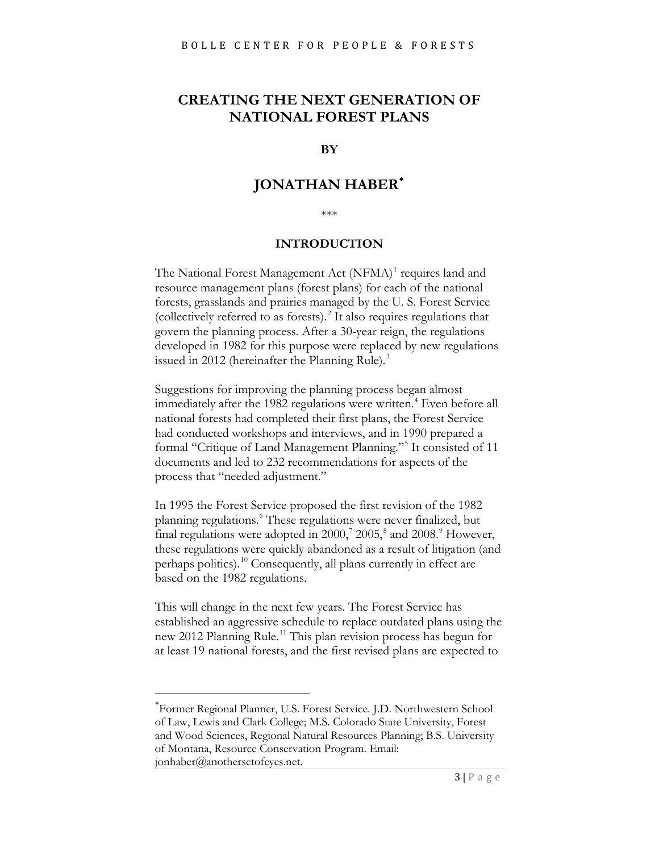#### **CREATING THE NEXT GENERATION OF NATIONAL FOREST PLANS**

#### **BY**

#### **JONATHAN HABER**[∗](#page-2-0)

\*\*\*

#### **INTRODUCTION**

The National Forest Management Act (NFMA)<sup>[1](#page-24-0)</sup> requires land and resource management plans (forest plans) for each of the national forests, grasslands and prairies managed by the U. S. Forest Service (collectively referred to as forests). [2](#page-24-1) It also requires regulations that govern the planning process. After a 30-year reign, the regulations developed in 1982 for this purpose were replaced by new regulations issued in 2012 (hereinafter the Planning Rule).<sup>[3](#page-24-2)</sup>

Suggestions for improving the planning process began almost immediately after the 1982 regulations were written. [4](#page-24-3) Even before all national forests had completed their first plans, the Forest Service had conducted workshops and interviews, and in 1990 prepared a formal "Critique of Land Management Planning."[5](#page-24-4) It consisted of 11 documents and led to 232 recommendations for aspects of the process that "needed adjustment."

In 1995 the Forest Service proposed the first revision of the 1982 planning regulations. [6](#page-24-5) These regulations were never finalized, but final regulations were adopted in  $2000$ ,  $2005$ ,  $a$  and  $2008$  $2008$ . However, these regulations were quickly abandoned as a result of litigation (and perhaps politics).<sup>[10](#page-24-9)</sup> Consequently, all plans currently in effect are based on the 1982 regulations.

This will change in the next few years. The Forest Service has established an aggressive schedule to replace outdated plans using the new 2012 Planning Rule.<sup>[11](#page-24-10)</sup> This plan revision process has begun for at least 19 national forests, and the first revised plans are expected to

<span id="page-2-0"></span>∗ Former Regional Planner, U.S. Forest Service. J.D. Northwestern School of Law, Lewis and Clark College; M.S. Colorado State University, Forest and Wood Sciences, Regional Natural Resources Planning; B.S. University of Montana, Resource Conservation Program. Email: jonhaber@anothersetofeyes.net.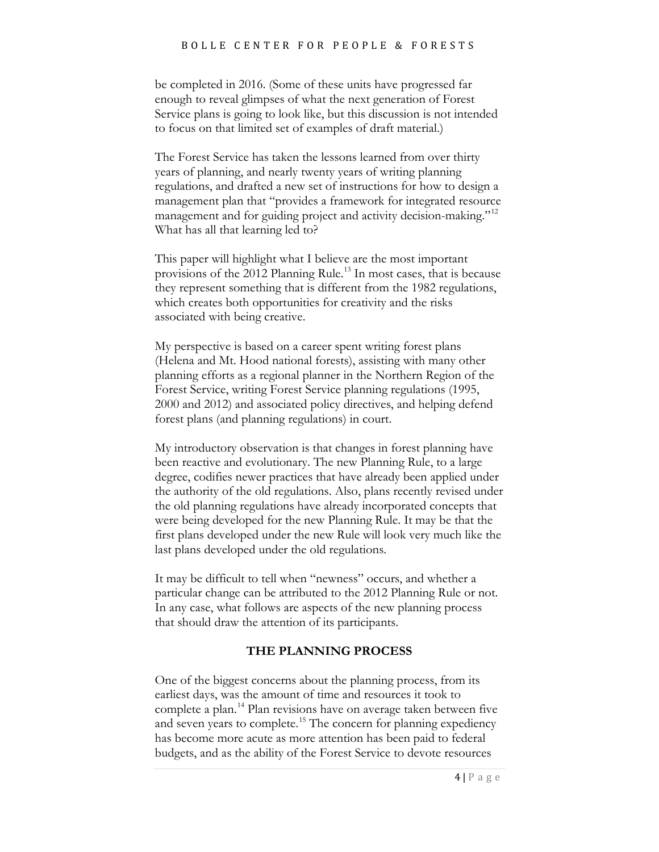be completed in 2016. (Some of these units have progressed far enough to reveal glimpses of what the next generation of Forest Service plans is going to look like, but this discussion is not intended to focus on that limited set of examples of draft material.)

The Forest Service has taken the lessons learned from over thirty years of planning, and nearly twenty years of writing planning regulations, and drafted a new set of instructions for how to design a management plan that "provides a framework for integrated resource management and for guiding project and activity decision-making."<sup>[12](#page-25-0)</sup> What has all that learning led to?

This paper will highlight what I believe are the most important provisions of the 2012 Planning Rule.<sup>[13](#page-25-1)</sup> In most cases, that is because they represent something that is different from the 1982 regulations, which creates both opportunities for creativity and the risks associated with being creative.

My perspective is based on a career spent writing forest plans (Helena and Mt. Hood national forests), assisting with many other planning efforts as a regional planner in the Northern Region of the Forest Service, writing Forest Service planning regulations (1995, 2000 and 2012) and associated policy directives, and helping defend forest plans (and planning regulations) in court.

My introductory observation is that changes in forest planning have been reactive and evolutionary. The new Planning Rule, to a large degree, codifies newer practices that have already been applied under the authority of the old regulations. Also, plans recently revised under the old planning regulations have already incorporated concepts that were being developed for the new Planning Rule. It may be that the first plans developed under the new Rule will look very much like the last plans developed under the old regulations.

It may be difficult to tell when "newness" occurs, and whether a particular change can be attributed to the 2012 Planning Rule or not. In any case, what follows are aspects of the new planning process that should draw the attention of its participants.

#### **THE PLANNING PROCESS**

One of the biggest concerns about the planning process, from its earliest days, was the amount of time and resources it took to complete a plan.<sup>[14](#page-25-2)</sup> Plan revisions have on average taken between five and seven years to complete.<sup>[15](#page-25-3)</sup> The concern for planning expediency has become more acute as more attention has been paid to federal budgets, and as the ability of the Forest Service to devote resources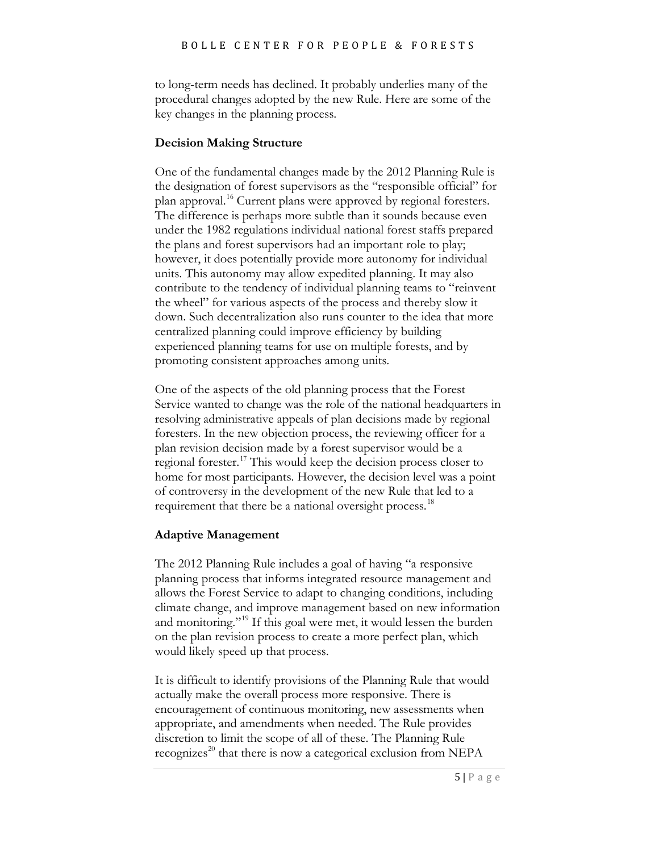to long-term needs has declined. It probably underlies many of the procedural changes adopted by the new Rule. Here are some of the key changes in the planning process.

#### **Decision Making Structure**

One of the fundamental changes made by the 2012 Planning Rule is the designation of forest supervisors as the "responsible official" for plan approval. [16](#page-26-0) Current plans were approved by regional foresters. The difference is perhaps more subtle than it sounds because even under the 1982 regulations individual national forest staffs prepared the plans and forest supervisors had an important role to play; however, it does potentially provide more autonomy for individual units. This autonomy may allow expedited planning. It may also contribute to the tendency of individual planning teams to "reinvent the wheel" for various aspects of the process and thereby slow it down. Such decentralization also runs counter to the idea that more centralized planning could improve efficiency by building experienced planning teams for use on multiple forests, and by promoting consistent approaches among units.

One of the aspects of the old planning process that the Forest Service wanted to change was the role of the national headquarters in resolving administrative appeals of plan decisions made by regional foresters. In the new objection process, the reviewing officer for a plan revision decision made by a forest supervisor would be a regional forester.[17](#page-26-1) This would keep the decision process closer to home for most participants. However, the decision level was a point of controversy in the development of the new Rule that led to a requirement that there be a national oversight process.<sup>[18](#page-26-2)</sup>

#### **Adaptive Management**

The 2012 Planning Rule includes a goal of having "a responsive planning process that informs integrated resource management and allows the Forest Service to adapt to changing conditions, including climate change, and improve management based on new information and monitoring."<sup>[19](#page-26-3)</sup> If this goal were met, it would lessen the burden on the plan revision process to create a more perfect plan, which would likely speed up that process.

It is difficult to identify provisions of the Planning Rule that would actually make the overall process more responsive. There is encouragement of continuous monitoring, new assessments when appropriate, and amendments when needed. The Rule provides discretion to limit the scope of all of these. The Planning Rule recognizes<sup>20</sup> that there is now a categorical exclusion from NEPA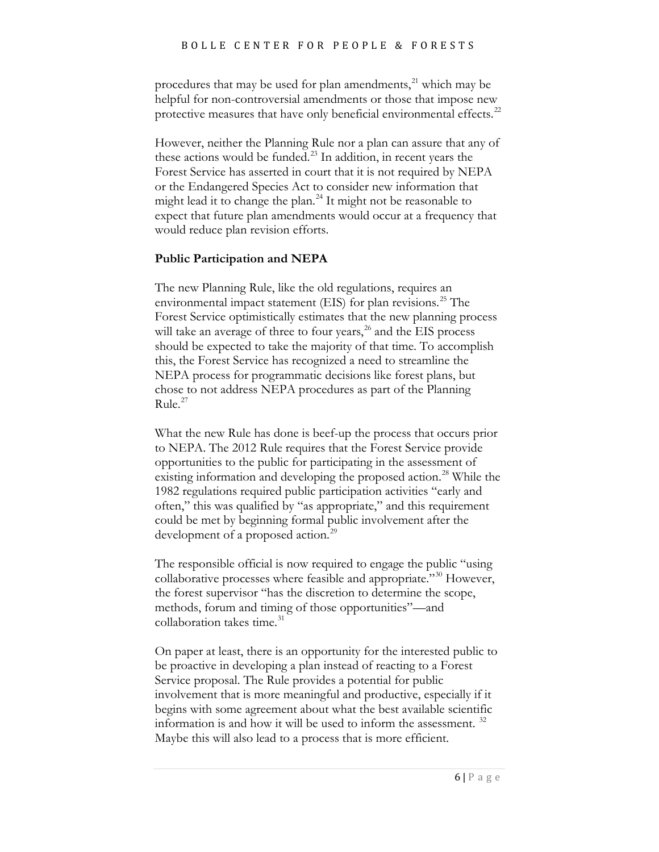procedures that may be used for plan amendments,<sup>[21](#page-27-0)</sup> which may be helpful for non-controversial amendments or those that impose new protective measures that have only beneficial environmental effects.<sup>[22](#page-27-1)</sup>

However, neither the Planning Rule nor a plan can assure that any of these actions would be funded. $^{23}$  $^{23}$  $^{23}$  In addition, in recent years the Forest Service has asserted in court that it is not required by NEPA or the Endangered Species Act to consider new information that might lead it to change the plan.<sup>[24](#page-27-3)</sup> It might not be reasonable to expect that future plan amendments would occur at a frequency that would reduce plan revision efforts.

#### **Public Participation and NEPA**

The new Planning Rule, like the old regulations, requires an environmental impact statement (EIS) for plan revisions.<sup>[25](#page-27-4)</sup> The Forest Service optimistically estimates that the new planning process will take an average of three to four years, $^{26}$  $^{26}$  $^{26}$  and the EIS process should be expected to take the majority of that time. To accomplish this, the Forest Service has recognized a need to streamline the NEPA process for programmatic decisions like forest plans, but chose to not address NEPA procedures as part of the Planning Rule.<sup>[27](#page-27-6)</sup>

What the new Rule has done is beef-up the process that occurs prior to NEPA. The 2012 Rule requires that the Forest Service provide opportunities to the public for participating in the assessment of existing information and developing the proposed action.<sup>[28](#page-27-7)</sup> While the 1982 regulations required public participation activities "early and often," this was qualified by "as appropriate," and this requirement could be met by beginning formal public involvement after the development of a proposed action.<sup>[29](#page-27-8)</sup>

The responsible official is now required to engage the public "using collaborative processes where feasible and appropriate."[30](#page-27-9) However, the forest supervisor "has the discretion to determine the scope, methods, forum and timing of those opportunities"—and collaboration takes time. [31](#page-27-10)

On paper at least, there is an opportunity for the interested public to be proactive in developing a plan instead of reacting to a Forest Service proposal. The Rule provides a potential for public involvement that is more meaningful and productive, especially if it begins with some agreement about what the best available scientific information is and how it will be used to inform the assessment.  $32$ Maybe this will also lead to a process that is more efficient.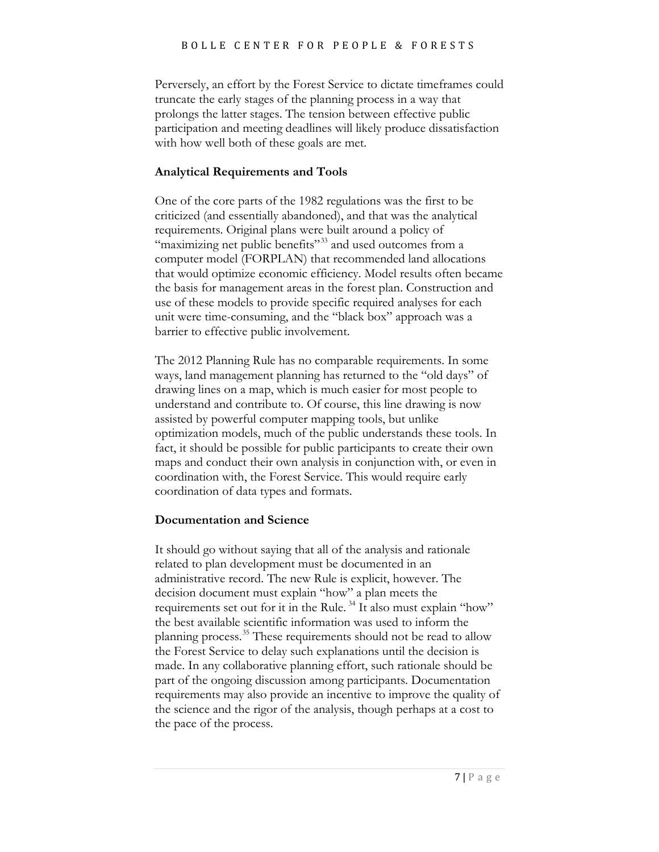Perversely, an effort by the Forest Service to dictate timeframes could truncate the early stages of the planning process in a way that prolongs the latter stages. The tension between effective public participation and meeting deadlines will likely produce dissatisfaction with how well both of these goals are met.

#### **Analytical Requirements and Tools**

One of the core parts of the 1982 regulations was the first to be criticized (and essentially abandoned), and that was the analytical requirements. Original plans were built around a policy of "maximizing net public benefits"<sup>[33](#page-28-0)</sup> and used outcomes from a computer model (FORPLAN) that recommended land allocations that would optimize economic efficiency. Model results often became the basis for management areas in the forest plan. Construction and use of these models to provide specific required analyses for each unit were time-consuming, and the "black box" approach was a barrier to effective public involvement.

The 2012 Planning Rule has no comparable requirements. In some ways, land management planning has returned to the "old days" of drawing lines on a map, which is much easier for most people to understand and contribute to. Of course, this line drawing is now assisted by powerful computer mapping tools, but unlike optimization models, much of the public understands these tools. In fact, it should be possible for public participants to create their own maps and conduct their own analysis in conjunction with, or even in coordination with, the Forest Service. This would require early coordination of data types and formats.

#### **Documentation and Science**

It should go without saying that all of the analysis and rationale related to plan development must be documented in an administrative record. The new Rule is explicit, however. The decision document must explain "how" a plan meets the requirements set out for it in the Rule. [34](#page-28-1) It also must explain "how" the best available scientific information was used to inform the planning process.<sup>[35](#page-28-2)</sup> These requirements should not be read to allow the Forest Service to delay such explanations until the decision is made. In any collaborative planning effort, such rationale should be part of the ongoing discussion among participants. Documentation requirements may also provide an incentive to improve the quality of the science and the rigor of the analysis, though perhaps at a cost to the pace of the process.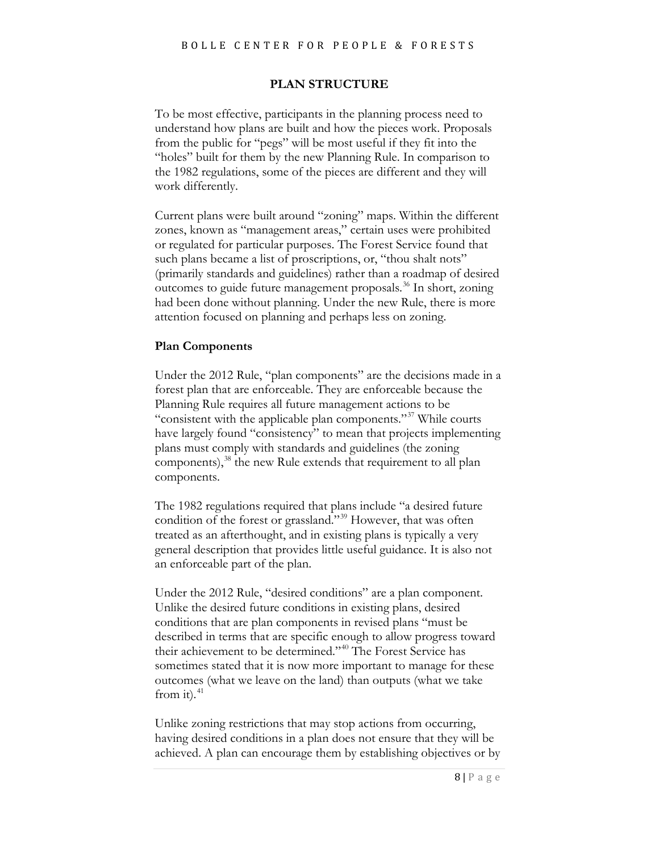#### **PLAN STRUCTURE**

To be most effective, participants in the planning process need to understand how plans are built and how the pieces work. Proposals from the public for "pegs" will be most useful if they fit into the "holes" built for them by the new Planning Rule. In comparison to the 1982 regulations, some of the pieces are different and they will work differently.

Current plans were built around "zoning" maps. Within the different zones, known as "management areas," certain uses were prohibited or regulated for particular purposes. The Forest Service found that such plans became a list of proscriptions, or, "thou shalt nots" (primarily standards and guidelines) rather than a roadmap of desired outcomes to guide future management proposals.<sup>[36](#page-28-3)</sup> In short, zoning had been done without planning. Under the new Rule, there is more attention focused on planning and perhaps less on zoning.

#### **Plan Components**

Under the 2012 Rule, "plan components" are the decisions made in a forest plan that are enforceable. They are enforceable because the Planning Rule requires all future management actions to be "consistent with the applicable plan components."<sup>[37](#page-28-4)</sup> While courts have largely found "consistency" to mean that projects implementing plans must comply with standards and guidelines (the zoning components),<sup>[38](#page-28-5)</sup> the new Rule extends that requirement to all plan components.

The 1982 regulations required that plans include "a desired future condition of the forest or grassland."<sup>[39](#page-28-6)</sup> However, that was often treated as an afterthought, and in existing plans is typically a very general description that provides little useful guidance. It is also not an enforceable part of the plan.

Under the 2012 Rule, "desired conditions" are a plan component. Unlike the desired future conditions in existing plans, desired conditions that are plan components in revised plans "must be described in terms that are specific enough to allow progress toward their achievement to be determined.["40](#page-28-7) The Forest Service has sometimes stated that it is now more important to manage for these outcomes (what we leave on the land) than outputs (what we take from it). $41$ 

Unlike zoning restrictions that may stop actions from occurring, having desired conditions in a plan does not ensure that they will be achieved. A plan can encourage them by establishing objectives or by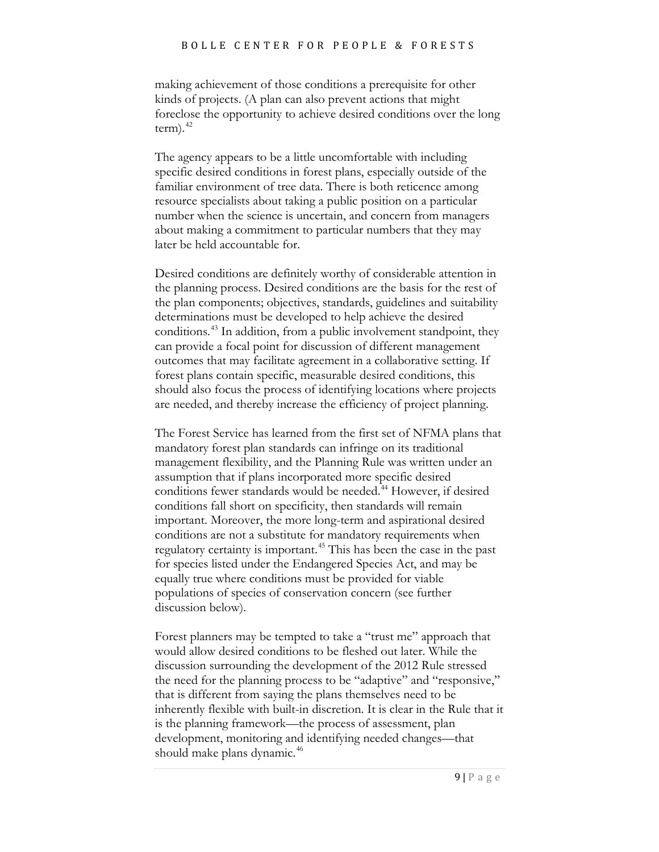making achievement of those conditions a prerequisite for other kinds of projects. (A plan can also prevent actions that might foreclose the opportunity to achieve desired conditions over the long  $term).$ <sup>42</sup>

The agency appears to be a little uncomfortable with including specific desired conditions in forest plans, especially outside of the familiar environment of tree data. There is both reticence among resource specialists about taking a public position on a particular number when the science is uncertain, and concern from managers about making a commitment to particular numbers that they may later be held accountable for.

Desired conditions are definitely worthy of considerable attention in the planning process. Desired conditions are the basis for the rest of the plan components; objectives, standards, guidelines and suitability determinations must be developed to help achieve the desired conditions.<sup>[43](#page-28-10)</sup> In addition, from a public involvement standpoint, they can provide a focal point for discussion of different management outcomes that may facilitate agreement in a collaborative setting. If forest plans contain specific, measurable desired conditions, this should also focus the process of identifying locations where projects are needed, and thereby increase the efficiency of project planning.

The Forest Service has learned from the first set of NFMA plans that mandatory forest plan standards can infringe on its traditional management flexibility, and the Planning Rule was written under an assumption that if plans incorporated more specific desired conditions fewer standards would be needed. [44](#page-28-11) However, if desired conditions fall short on specificity, then standards will remain important. Moreover, the more long-term and aspirational desired conditions are not a substitute for mandatory requirements when regulatory certainty is important.<sup>[45](#page-28-12)</sup> This has been the case in the past for species listed under the Endangered Species Act, and may be equally true where conditions must be provided for viable populations of species of conservation concern (see further discussion below).

Forest planners may be tempted to take a "trust me" approach that would allow desired conditions to be fleshed out later. While the discussion surrounding the development of the 2012 Rule stressed the need for the planning process to be "adaptive" and "responsive," that is different from saying the plans themselves need to be inherently flexible with built-in discretion. It is clear in the Rule that it is the planning framework—the process of assessment, plan development, monitoring and identifying needed changes—that should make plans dynamic.<sup>[46](#page-28-13)</sup>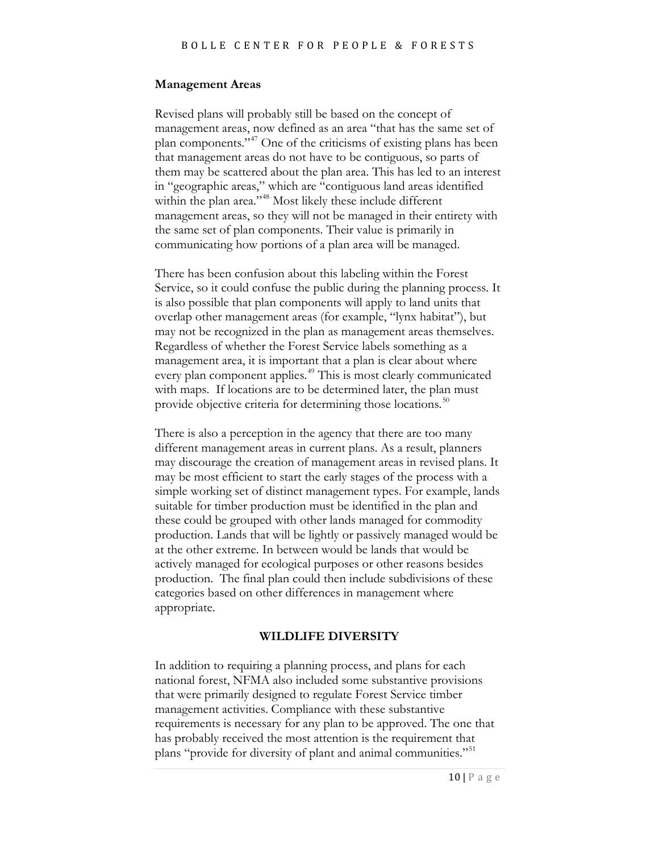#### **Management Areas**

Revised plans will probably still be based on the concept of management areas, now defined as an area "that has the same set of plan components."[47](#page-28-14) One of the criticisms of existing plans has been that management areas do not have to be contiguous, so parts of them may be scattered about the plan area. This has led to an interest in "geographic areas," which are "contiguous land areas identified within the plan area."<sup>[48](#page-28-15)</sup> Most likely these include different management areas, so they will not be managed in their entirety with the same set of plan components. Their value is primarily in communicating how portions of a plan area will be managed.

There has been confusion about this labeling within the Forest Service, so it could confuse the public during the planning process. It is also possible that plan components will apply to land units that overlap other management areas (for example, "lynx habitat"), but may not be recognized in the plan as management areas themselves. Regardless of whether the Forest Service labels something as a management area, it is important that a plan is clear about where every plan component applies.<sup>[49](#page-28-16)</sup> This is most clearly communicated with maps. If locations are to be determined later, the plan must provide objective criteria for determining those locations.<sup>[50](#page-28-17)</sup>

There is also a perception in the agency that there are too many different management areas in current plans. As a result, planners may discourage the creation of management areas in revised plans. It may be most efficient to start the early stages of the process with a simple working set of distinct management types. For example, lands suitable for timber production must be identified in the plan and these could be grouped with other lands managed for commodity production. Lands that will be lightly or passively managed would be at the other extreme. In between would be lands that would be actively managed for ecological purposes or other reasons besides production. The final plan could then include subdivisions of these categories based on other differences in management where appropriate.

#### **WILDLIFE DIVERSITY**

In addition to requiring a planning process, and plans for each national forest, NFMA also included some substantive provisions that were primarily designed to regulate Forest Service timber management activities. Compliance with these substantive requirements is necessary for any plan to be approved. The one that has probably received the most attention is the requirement that plans "provide for diversity of plant and animal communities."<sup>[51](#page-28-18)</sup>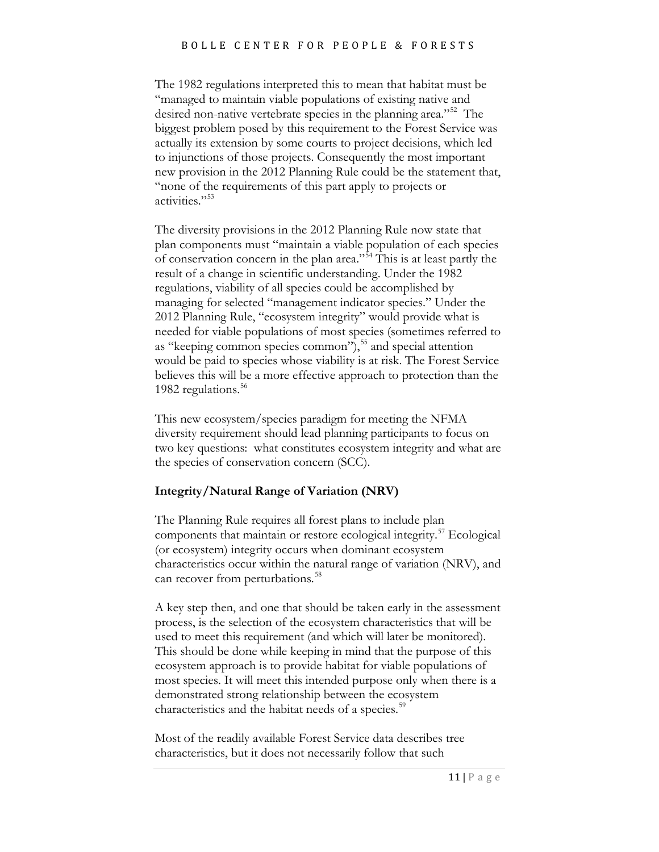The 1982 regulations interpreted this to mean that habitat must be "managed to maintain viable populations of existing native and desired non-native vertebrate species in the planning area."<sup>[52](#page-28-19)</sup> The biggest problem posed by this requirement to the Forest Service was actually its extension by some courts to project decisions, which led to injunctions of those projects. Consequently the most important new provision in the 2012 Planning Rule could be the statement that, "none of the requirements of this part apply to projects or activities."[53](#page-28-20)

The diversity provisions in the 2012 Planning Rule now state that plan components must "maintain a viable population of each species of conservation concern in the plan area."[54](#page-28-21) This is at least partly the result of a change in scientific understanding. Under the 1982 regulations, viability of all species could be accomplished by managing for selected "management indicator species." Under the 2012 Planning Rule, "ecosystem integrity" would provide what is needed for viable populations of most species (sometimes referred to as "keeping common species common"),<sup>[55](#page-28-22)</sup> and special attention would be paid to species whose viability is at risk. The Forest Service believes this will be a more effective approach to protection than the 1982 regulations.<sup>[56](#page-28-1)</sup>

This new ecosystem/species paradigm for meeting the NFMA diversity requirement should lead planning participants to focus on two key questions: what constitutes ecosystem integrity and what are the species of conservation concern (SCC).

#### **Integrity/Natural Range of Variation (NRV)**

The Planning Rule requires all forest plans to include plan components that maintain or restore ecological integrity. [57](#page-28-3) Ecological (or ecosystem) integrity occurs when dominant ecosystem characteristics occur within the natural range of variation (NRV), and can recover from perturbations.<sup>[58](#page-28-23)</sup>

A key step then, and one that should be taken early in the assessment process, is the selection of the ecosystem characteristics that will be used to meet this requirement (and which will later be monitored). This should be done while keeping in mind that the purpose of this ecosystem approach is to provide habitat for viable populations of most species. It will meet this intended purpose only when there is a demonstrated strong relationship between the ecosystem characteristics and the habitat needs of a species.<sup>[59](#page-28-24)</sup>

Most of the readily available Forest Service data describes tree characteristics, but it does not necessarily follow that such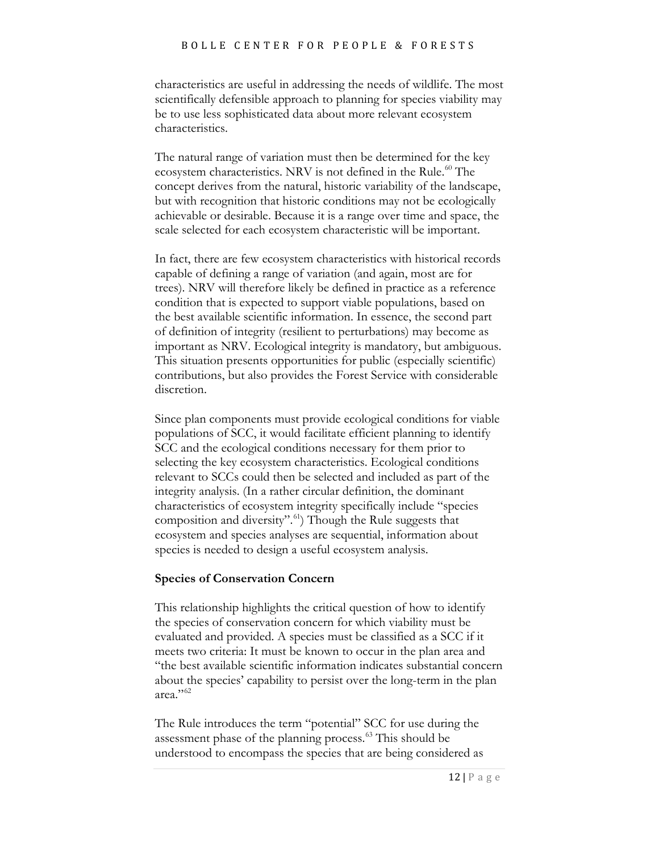characteristics are useful in addressing the needs of wildlife. The most scientifically defensible approach to planning for species viability may be to use less sophisticated data about more relevant ecosystem characteristics.

The natural range of variation must then be determined for the key ecosystem characteristics. NRV is not defined in the Rule.<sup>[60](#page-28-25)</sup> The concept derives from the natural, historic variability of the landscape, but with recognition that historic conditions may not be ecologically achievable or desirable. Because it is a range over time and space, the scale selected for each ecosystem characteristic will be important.

In fact, there are few ecosystem characteristics with historical records capable of defining a range of variation (and again, most are for trees). NRV will therefore likely be defined in practice as a reference condition that is expected to support viable populations, based on the best available scientific information. In essence, the second part of definition of integrity (resilient to perturbations) may become as important as NRV. Ecological integrity is mandatory, but ambiguous. This situation presents opportunities for public (especially scientific) contributions, but also provides the Forest Service with considerable discretion.

Since plan components must provide ecological conditions for viable populations of SCC, it would facilitate efficient planning to identify SCC and the ecological conditions necessary for them prior to selecting the key ecosystem characteristics. Ecological conditions relevant to SCCs could then be selected and included as part of the integrity analysis. (In a rather circular definition, the dominant characteristics of ecosystem integrity specifically include "species composition and diversity".<sup>[61](#page-28-26)</sup>) Though the Rule suggests that ecosystem and species analyses are sequential, information about species is needed to design a useful ecosystem analysis.

#### **Species of Conservation Concern**

This relationship highlights the critical question of how to identify the species of conservation concern for which viability must be evaluated and provided. A species must be classified as a SCC if it meets two criteria: It must be known to occur in the plan area and "the best available scientific information indicates substantial concern about the species' capability to persist over the long-term in the plan area."<sup>[62](#page-28-27)</sup>

The Rule introduces the term "potential" SCC for use during the assessment phase of the planning process. [63](#page-28-28) This should be understood to encompass the species that are being considered as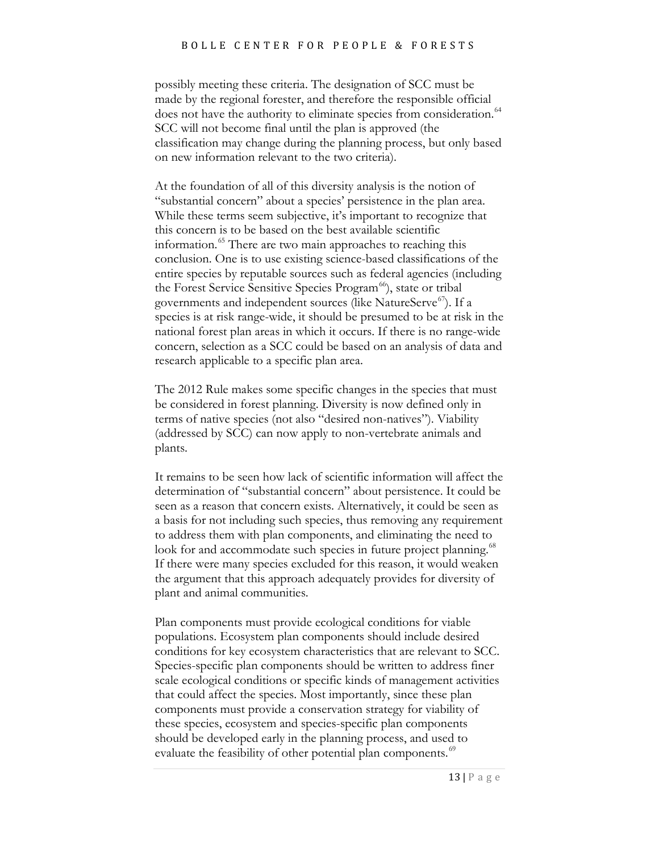possibly meeting these criteria. The designation of SCC must be made by the regional forester, and therefore the responsible official does not have the authority to eliminate species from consideration.<sup>[64](#page-28-29)</sup> SCC will not become final until the plan is approved (the classification may change during the planning process, but only based on new information relevant to the two criteria).

At the foundation of all of this diversity analysis is the notion of "substantial concern" about a species' persistence in the plan area. While these terms seem subjective, it's important to recognize that this concern is to be based on the best available scientific information. [65](#page-28-14) There are two main approaches to reaching this conclusion. One is to use existing science-based classifications of the entire species by reputable sources such as federal agencies (including the Forest Service Sensitive Species Program<sup>66</sup>), state or tribal governments and independent sources (like NatureServe $\epsilon^{67}$ ). If a species is at risk range-wide, it should be presumed to be at risk in the national forest plan areas in which it occurs. If there is no range-wide concern, selection as a SCC could be based on an analysis of data and research applicable to a specific plan area.

The 2012 Rule makes some specific changes in the species that must be considered in forest planning. Diversity is now defined only in terms of native species (not also "desired non-natives"). Viability (addressed by SCC) can now apply to non-vertebrate animals and plants.

It remains to be seen how lack of scientific information will affect the determination of "substantial concern" about persistence. It could be seen as a reason that concern exists. Alternatively, it could be seen as a basis for not including such species, thus removing any requirement to address them with plan components, and eliminating the need to look for and accommodate such species in future project planning.<sup>68</sup> If there were many species excluded for this reason, it would weaken the argument that this approach adequately provides for diversity of plant and animal communities.

Plan components must provide ecological conditions for viable populations. Ecosystem plan components should include desired conditions for key ecosystem characteristics that are relevant to SCC. Species-specific plan components should be written to address finer scale ecological conditions or specific kinds of management activities that could affect the species. Most importantly, since these plan components must provide a conservation strategy for viability of these species, ecosystem and species-specific plan components should be developed early in the planning process, and used to evaluate the feasibility of other potential plan components.<sup>[69](#page-28-31)</sup>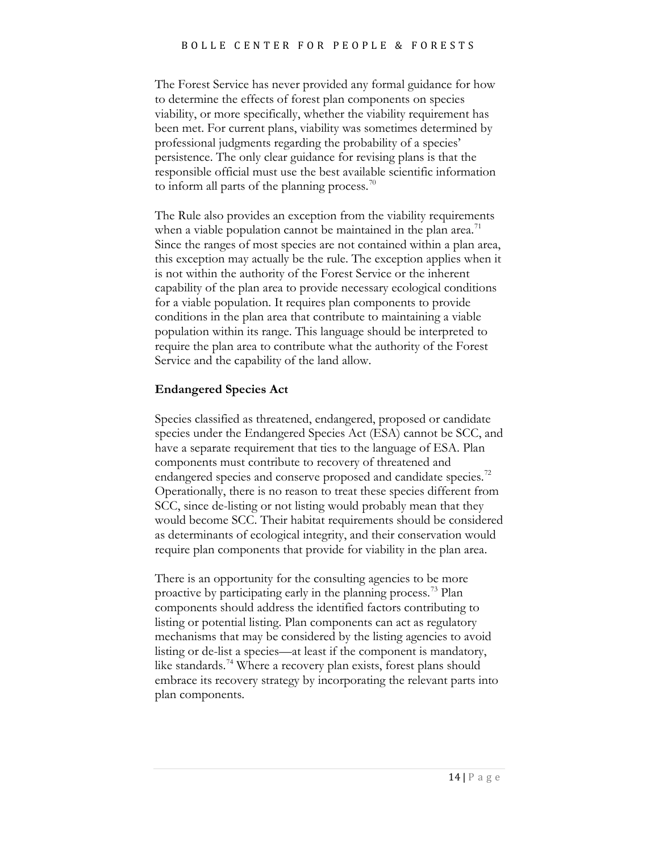The Forest Service has never provided any formal guidance for how to determine the effects of forest plan components on species viability, or more specifically, whether the viability requirement has been met. For current plans, viability was sometimes determined by professional judgments regarding the probability of a species' persistence. The only clear guidance for revising plans is that the responsible official must use the best available scientific information to inform all parts of the planning process.<sup>[70](#page-28-21)</sup>

The Rule also provides an exception from the viability requirements when a viable population cannot be maintained in the plan area.<sup>[71](#page-28-32)</sup> Since the ranges of most species are not contained within a plan area, this exception may actually be the rule. The exception applies when it is not within the authority of the Forest Service or the inherent capability of the plan area to provide necessary ecological conditions for a viable population. It requires plan components to provide conditions in the plan area that contribute to maintaining a viable population within its range. This language should be interpreted to require the plan area to contribute what the authority of the Forest Service and the capability of the land allow.

#### **Endangered Species Act**

Species classified as threatened, endangered, proposed or candidate species under the Endangered Species Act (ESA) cannot be SCC, and have a separate requirement that ties to the language of ESA. Plan components must contribute to recovery of threatened and endangered species and conserve proposed and candidate species.<sup>72</sup> Operationally, there is no reason to treat these species different from SCC, since de-listing or not listing would probably mean that they would become SCC. Their habitat requirements should be considered as determinants of ecological integrity, and their conservation would require plan components that provide for viability in the plan area.

There is an opportunity for the consulting agencies to be more proactive by participating early in the planning process.[73](#page-28-22) Plan components should address the identified factors contributing to listing or potential listing. Plan components can act as regulatory mechanisms that may be considered by the listing agencies to avoid listing or de-list a species—at least if the component is mandatory, like standards.<sup>[74](#page-28-0)</sup> Where a recovery plan exists, forest plans should embrace its recovery strategy by incorporating the relevant parts into plan components.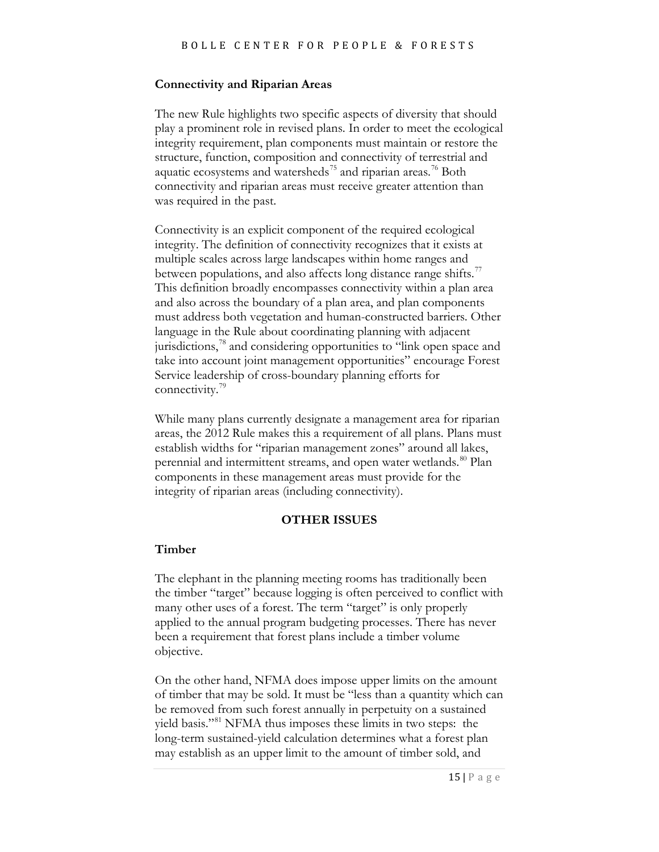#### **Connectivity and Riparian Areas**

The new Rule highlights two specific aspects of diversity that should play a prominent role in revised plans. In order to meet the ecological integrity requirement, plan components must maintain or restore the structure, function, composition and connectivity of terrestrial and aquatic ecosystems and watersheds<sup>[75](#page-28-1)</sup> and riparian areas.<sup>[76](#page-28-2)</sup> Both connectivity and riparian areas must receive greater attention than was required in the past.

Connectivity is an explicit component of the required ecological integrity. The definition of connectivity recognizes that it exists at multiple scales across large landscapes within home ranges and between populations, and also affects long distance range shifts. $\frac{7}{2}$ This definition broadly encompasses connectivity within a plan area and also across the boundary of a plan area, and plan components must address both vegetation and human-constructed barriers. Other language in the Rule about coordinating planning with adjacent jurisdictions,<sup>[78](#page-28-23)</sup> and considering opportunities to "link open space and take into account joint management opportunities" encourage Forest Service leadership of cross-boundary planning efforts for connectivity.<sup>[79](#page-28-24)</sup>

While many plans currently designate a management area for riparian areas, the 2012 Rule makes this a requirement of all plans. Plans must establish widths for "riparian management zones" around all lakes, perennial and intermittent streams, and open water wetlands.<sup>[80](#page-28-5)</sup> Plan components in these management areas must provide for the integrity of riparian areas (including connectivity).

#### **OTHER ISSUES**

#### **Timber**

The elephant in the planning meeting rooms has traditionally been the timber "target" because logging is often perceived to conflict with many other uses of a forest. The term "target" is only properly applied to the annual program budgeting processes. There has never been a requirement that forest plans include a timber volume objective.

On the other hand, NFMA does impose upper limits on the amount of timber that may be sold. It must be "less than a quantity which can be removed from such forest annually in perpetuity on a sustained yield basis."<sup>[81](#page-28-25)</sup> NFMA thus imposes these limits in two steps: the long-term sustained-yield calculation determines what a forest plan may establish as an upper limit to the amount of timber sold, and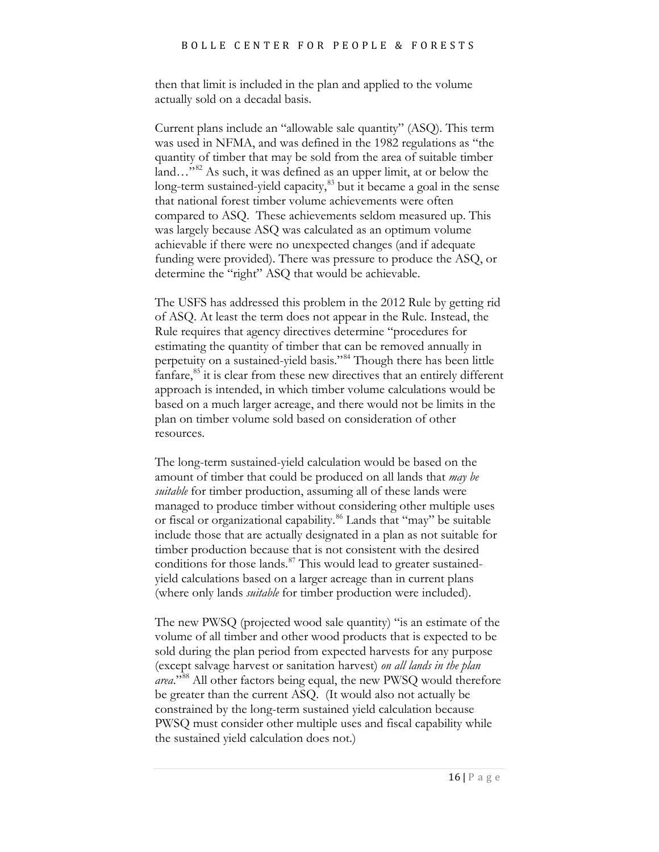then that limit is included in the plan and applied to the volume actually sold on a decadal basis.

Current plans include an "allowable sale quantity" (ASQ). This term was used in NFMA, and was defined in the 1982 regulations as "the quantity of timber that may be sold from the area of suitable timber land…"<sup>[82](#page-28-34)</sup> As such, it was defined as an upper limit, at or below the long-term sustained-yield capacity, $83$  but it became a goal in the sense that national forest timber volume achievements were often compared to ASQ. These achievements seldom measured up. This was largely because ASQ was calculated as an optimum volume achievable if there were no unexpected changes (and if adequate funding were provided). There was pressure to produce the ASQ, or determine the "right" ASQ that would be achievable.

The USFS has addressed this problem in the 2012 Rule by getting rid of ASQ. At least the term does not appear in the Rule. Instead, the Rule requires that agency directives determine "procedures for estimating the quantity of timber that can be removed annually in perpetuity on a sustained-yield basis."[84](#page-28-36) Though there has been little fanfare, $85$  it is clear from these new directives that an entirely different approach is intended, in which timber volume calculations would be based on a much larger acreage, and there would not be limits in the plan on timber volume sold based on consideration of other resources.

The long-term sustained-yield calculation would be based on the amount of timber that could be produced on all lands that *may be suitable* for timber production, assuming all of these lands were managed to produce timber without considering other multiple uses or fiscal or organizational capability.<sup>[86](#page-28-11)</sup> Lands that "may" be suitable include those that are actually designated in a plan as not suitable for timber production because that is not consistent with the desired conditions for those lands. $87$  This would lead to greater sustainedyield calculations based on a larger acreage than in current plans (where only lands *suitable* for timber production were included).

The new PWSQ (projected wood sale quantity) "is an estimate of the volume of all timber and other wood products that is expected to be sold during the plan period from expected harvests for any purpose (except salvage harvest or sanitation harvest) *on all lands in the plan area*."[88](#page-28-39) All other factors being equal, the new PWSQ would therefore be greater than the current ASQ. (It would also not actually be constrained by the long-term sustained yield calculation because PWSQ must consider other multiple uses and fiscal capability while the sustained yield calculation does not.)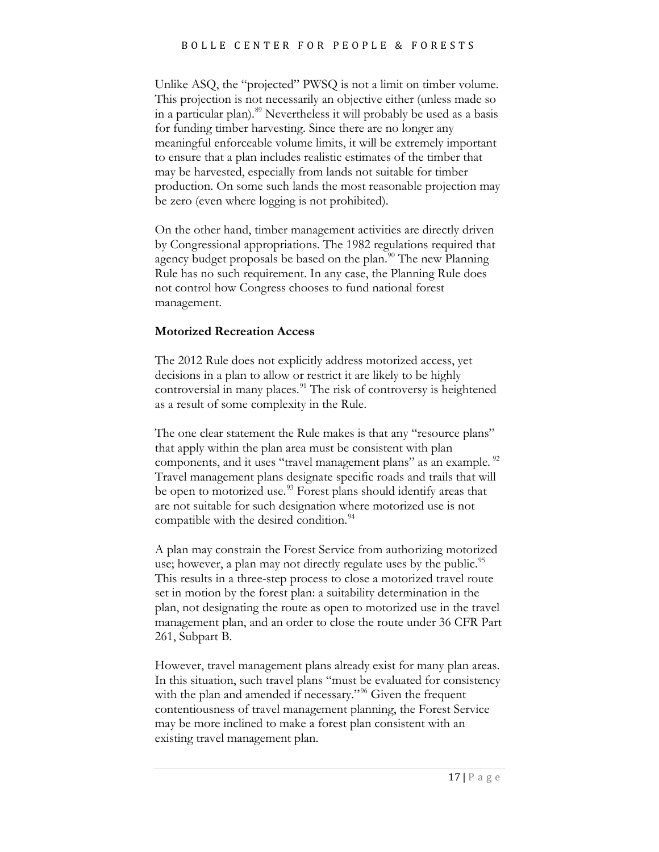Unlike ASQ, the "projected" PWSQ is not a limit on timber volume. This projection is not necessarily an objective either (unless made so in a particular plan).<sup>[89](#page-28-40)</sup> Nevertheless it will probably be used as a basis for funding timber harvesting. Since there are no longer any meaningful enforceable volume limits, it will be extremely important to ensure that a plan includes realistic estimates of the timber that may be harvested, especially from lands not suitable for timber production. On some such lands the most reasonable projection may be zero (even where logging is not prohibited).

On the other hand, timber management activities are directly driven by Congressional appropriations. The 1982 regulations required that agency budget proposals be based on the plan.<sup>90</sup> The new Planning Rule has no such requirement. In any case, the Planning Rule does not control how Congress chooses to fund national forest management.

#### **Motorized Recreation Access**

The 2012 Rule does not explicitly address motorized access, yet decisions in a plan to allow or restrict it are likely to be highly controversial in many places.<sup>[91](#page-28-16)</sup> The risk of controversy is heightened as a result of some complexity in the Rule.

The one clear statement the Rule makes is that any "resource plans" that apply within the plan area must be consistent with plan components, and it uses "travel management plans" as an example. <sup>[92](#page-28-42)</sup> Travel management plans designate specific roads and trails that will be open to motorized use.<sup>[93](#page-28-43)</sup> Forest plans should identify areas that are not suitable for such designation where motorized use is not compatible with the desired condition.<sup>[94](#page-28-44)</sup>

A plan may constrain the Forest Service from authorizing motorized use; however, a plan may not directly regulate uses by the public.<sup>[95](#page-28-20)</sup> This results in a three-step process to close a motorized travel route set in motion by the forest plan: a suitability determination in the plan, not designating the route as open to motorized use in the travel management plan, and an order to close the route under 36 CFR Part 261, Subpart B.

However, travel management plans already exist for many plan areas. In this situation, such travel plans "must be evaluated for consistency with the plan and amended if necessary."<sup>[96](#page-28-45)</sup> Given the frequent contentiousness of travel management planning, the Forest Service may be more inclined to make a forest plan consistent with an existing travel management plan.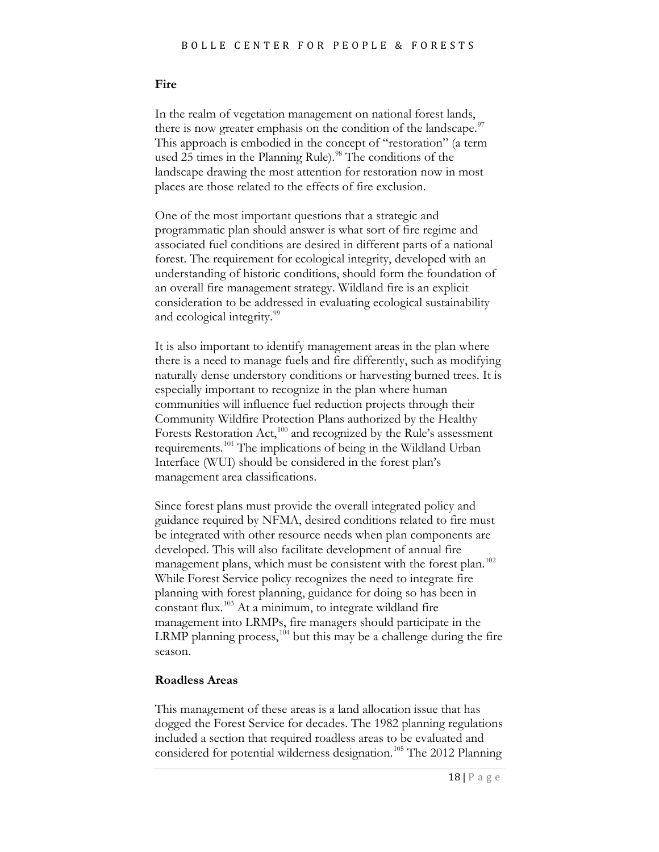#### **Fire**

In the realm of vegetation management on national forest lands, there is now greater emphasis on the condition of the landscape. $\frac{97}{100}$  $\frac{97}{100}$  $\frac{97}{100}$ This approach is embodied in the concept of "restoration" (a term used 25 times in the Planning Rule).<sup>[98](#page-28-47)</sup> The conditions of the landscape drawing the most attention for restoration now in most places are those related to the effects of fire exclusion.

One of the most important questions that a strategic and programmatic plan should answer is what sort of fire regime and associated fuel conditions are desired in different parts of a national forest. The requirement for ecological integrity, developed with an understanding of historic conditions, should form the foundation of an overall fire management strategy. Wildland fire is an explicit consideration to be addressed in evaluating ecological sustainability and ecological integrity.<sup>[99](#page-28-22)</sup>

It is also important to identify management areas in the plan where there is a need to manage fuels and fire differently, such as modifying naturally dense understory conditions or harvesting burned trees. It is especially important to recognize in the plan where human communities will influence fuel reduction projects through their Community Wildfire Protection Plans authorized by the Healthy Forests Restoration Act,<sup>[100](#page-28-0)</sup> and recognized by the Rule's assessment requirements.[101](#page-28-1) The implications of being in the Wildland Urban Interface (WUI) should be considered in the forest plan's management area classifications.

Since forest plans must provide the overall integrated policy and guidance required by NFMA, desired conditions related to fire must be integrated with other resource needs when plan components are developed. This will also facilitate development of annual fire management plans, which must be consistent with the forest plan.<sup>102</sup> While Forest Service policy recognizes the need to integrate fire planning with forest planning, guidance for doing so has been in constant flux.<sup>[103](#page-28-3)</sup> At a minimum, to integrate wildland fire management into LRMPs, fire managers should participate in the LRMP planning process,  $104$  but this may be a challenge during the fire season.

#### **Roadless Areas**

This management of these areas is a land allocation issue that has dogged the Forest Service for decades. The 1982 planning regulations included a section that required roadless areas to be evaluated and considered for potential wilderness designation.<sup>[105](#page-28-11)</sup> The 2012 Planning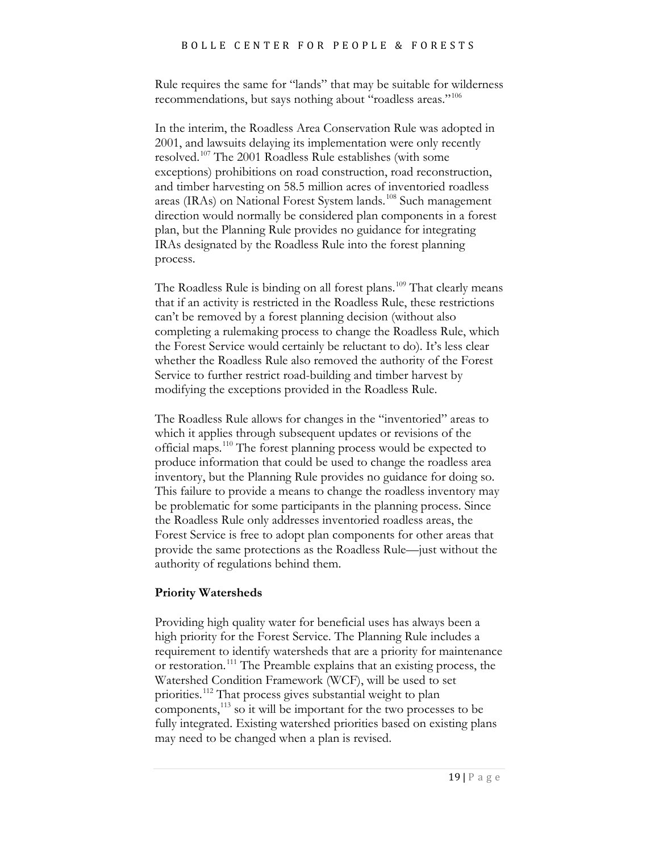Rule requires the same for "lands" that may be suitable for wilderness recommendations, but says nothing about "roadless areas."<sup>[106](#page-28-49)</sup>

In the interim, the Roadless Area Conservation Rule was adopted in 2001, and lawsuits delaying its implementation were only recently resolved.<sup>[107](#page-28-50)</sup> The 2001 Roadless Rule establishes (with some exceptions) prohibitions on road construction, road reconstruction, and timber harvesting on 58.5 million acres of inventoried roadless areas (IRAs) on National Forest System lands.<sup>[108](#page-28-51)</sup> Such management direction would normally be considered plan components in a forest plan, but the Planning Rule provides no guidance for integrating IRAs designated by the Roadless Rule into the forest planning process.

The Roadless Rule is binding on all forest plans.<sup>[109](#page-28-52)</sup> That clearly means that if an activity is restricted in the Roadless Rule, these restrictions can't be removed by a forest planning decision (without also completing a rulemaking process to change the Roadless Rule, which the Forest Service would certainly be reluctant to do). It's less clear whether the Roadless Rule also removed the authority of the Forest Service to further restrict road-building and timber harvest by modifying the exceptions provided in the Roadless Rule.

The Roadless Rule allows for changes in the "inventoried" areas to which it applies through subsequent updates or revisions of the official maps.<sup>[110](#page-28-26)</sup> The forest planning process would be expected to produce information that could be used to change the roadless area inventory, but the Planning Rule provides no guidance for doing so. This failure to provide a means to change the roadless inventory may be problematic for some participants in the planning process. Since the Roadless Rule only addresses inventoried roadless areas, the Forest Service is free to adopt plan components for other areas that provide the same protections as the Roadless Rule—just without the authority of regulations behind them.

#### **Priority Watersheds**

Providing high quality water for beneficial uses has always been a high priority for the Forest Service. The Planning Rule includes a requirement to identify watersheds that are a priority for maintenance or restoration. [111](#page-28-27) The Preamble explains that an existing process, the Watershed Condition Framework (WCF), will be used to set priorities.<sup>[112](#page-28-28)</sup> That process gives substantial weight to plan components, [113](#page-28-12) so it will be important for the two processes to be fully integrated. Existing watershed priorities based on existing plans may need to be changed when a plan is revised.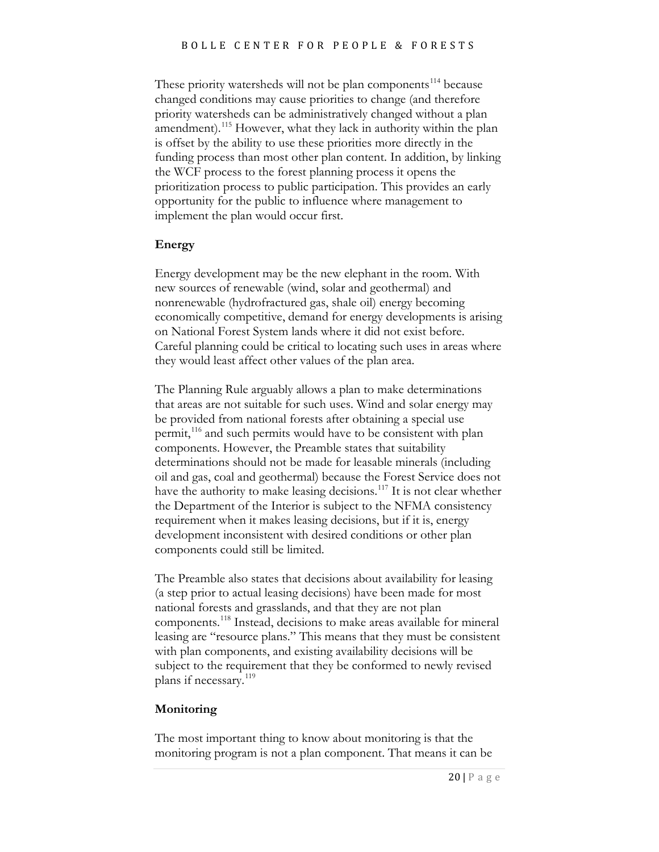These priority watersheds will not be plan components<sup>[114](#page-28-15)</sup> because changed conditions may cause priorities to change (and therefore priority watersheds can be administratively changed without a plan amendment).<sup>[115](#page-28-18)</sup> However, what they lack in authority within the plan is offset by the ability to use these priorities more directly in the funding process than most other plan content. In addition, by linking the WCF process to the forest planning process it opens the prioritization process to public participation. This provides an early opportunity for the public to influence where management to implement the plan would occur first.

#### **Energy**

Energy development may be the new elephant in the room. With new sources of renewable (wind, solar and geothermal) and nonrenewable (hydrofractured gas, shale oil) energy becoming economically competitive, demand for energy developments is arising on National Forest System lands where it did not exist before. Careful planning could be critical to locating such uses in areas where they would least affect other values of the plan area.

The Planning Rule arguably allows a plan to make determinations that areas are not suitable for such uses. Wind and solar energy may be provided from national forests after obtaining a special use permit,<sup>[116](#page-28-42)</sup> and such permits would have to be consistent with plan components. However, the Preamble states that suitability determinations should not be made for leasable minerals (including oil and gas, coal and geothermal) because the Forest Service does not have the authority to make leasing decisions.<sup>[117](#page-28-46)</sup> It is not clear whether the Department of the Interior is subject to the NFMA consistency requirement when it makes leasing decisions, but if it is, energy development inconsistent with desired conditions or other plan components could still be limited.

The Preamble also states that decisions about availability for leasing (a step prior to actual leasing decisions) have been made for most national forests and grasslands, and that they are not plan components. [118](#page-28-53) Instead, decisions to make areas available for mineral leasing are "resource plans." This means that they must be consistent with plan components, and existing availability decisions will be subject to the requirement that they be conformed to newly revised plans if necessary. [119](#page-28-32)

#### **Monitoring**

The most important thing to know about monitoring is that the monitoring program is not a plan component. That means it can be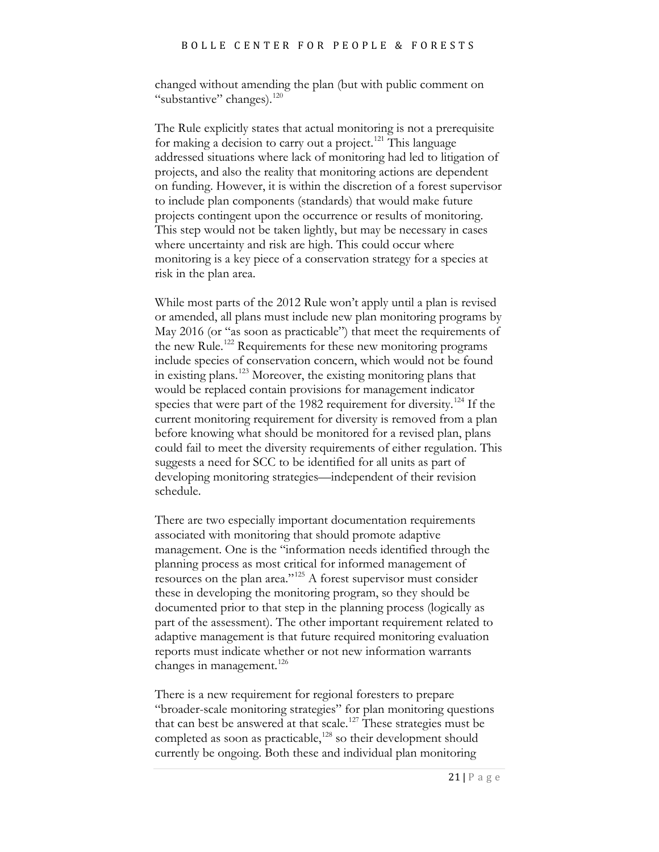changed without amending the plan (but with public comment on "substantive" changes). $120$ 

The Rule explicitly states that actual monitoring is not a prerequisite for making a decision to carry out a project.<sup>[121](#page-28-22)</sup> This language addressed situations where lack of monitoring had led to litigation of projects, and also the reality that monitoring actions are dependent on funding. However, it is within the discretion of a forest supervisor to include plan components (standards) that would make future projects contingent upon the occurrence or results of monitoring. This step would not be taken lightly, but may be necessary in cases where uncertainty and risk are high. This could occur where monitoring is a key piece of a conservation strategy for a species at risk in the plan area.

While most parts of the 2012 Rule won't apply until a plan is revised or amended, all plans must include new plan monitoring programs by May 2016 (or "as soon as practicable") that meet the requirements of the new Rule.<sup>[122](#page-28-0)</sup> Requirements for these new monitoring programs include species of conservation concern, which would not be found in existing plans. [123](#page-28-1) Moreover, the existing monitoring plans that would be replaced contain provisions for management indicator species that were part of the 1982 requirement for diversity.<sup>[124](#page-28-2)</sup> If the current monitoring requirement for diversity is removed from a plan before knowing what should be monitored for a revised plan, plans could fail to meet the diversity requirements of either regulation. This suggests a need for SCC to be identified for all units as part of developing monitoring strategies—independent of their revision schedule.

There are two especially important documentation requirements associated with monitoring that should promote adaptive management. One is the "information needs identified through the planning process as most critical for informed management of resources on the plan area."[125](#page-28-3) A forest supervisor must consider these in developing the monitoring program, so they should be documented prior to that step in the planning process (logically as part of the assessment). The other important requirement related to adaptive management is that future required monitoring evaluation reports must indicate whether or not new information warrants changes in management. [126](#page-28-23)

There is a new requirement for regional foresters to prepare "broader-scale monitoring strategies" for plan monitoring questions that can best be answered at that scale.<sup>[127](#page-28-24)</sup> These strategies must be completed as soon as practicable,<sup>[128](#page-28-54)</sup> so their development should currently be ongoing. Both these and individual plan monitoring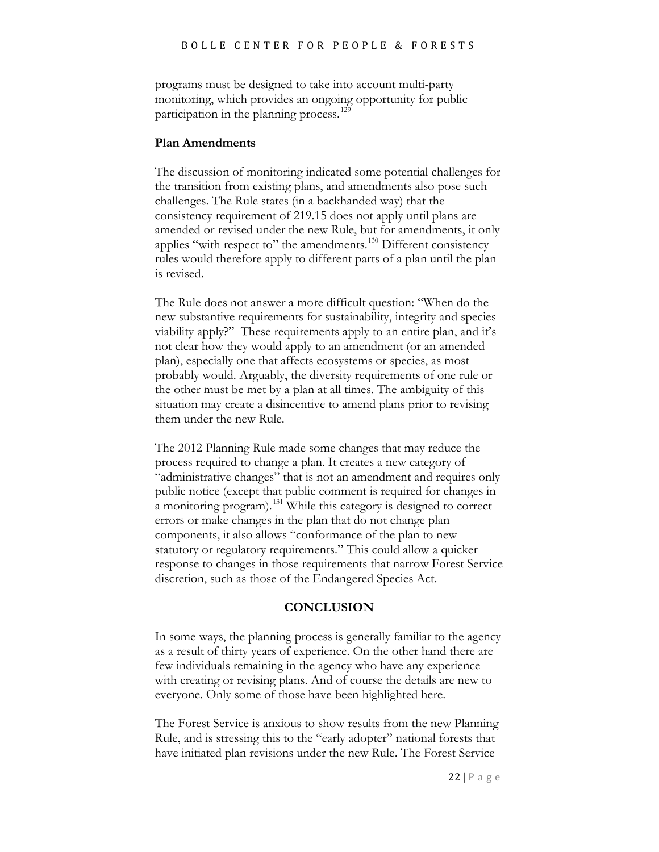programs must be designed to take into account multi-party monitoring, which provides an ongoing opportunity for public participation in the planning process.<sup>[129](#page-28-4)</sup>

#### **Plan Amendments**

The discussion of monitoring indicated some potential challenges for the transition from existing plans, and amendments also pose such challenges. The Rule states (in a backhanded way) that the consistency requirement of 219.15 does not apply until plans are amended or revised under the new Rule, but for amendments, it only applies "with respect to" the amendments.<sup>[130](#page-28-5)</sup> Different consistency rules would therefore apply to different parts of a plan until the plan is revised.

The Rule does not answer a more difficult question: "When do the new substantive requirements for sustainability, integrity and species viability apply?" These requirements apply to an entire plan, and it's not clear how they would apply to an amendment (or an amended plan), especially one that affects ecosystems or species, as most probably would. Arguably, the diversity requirements of one rule or the other must be met by a plan at all times. The ambiguity of this situation may create a disincentive to amend plans prior to revising them under the new Rule.

The 2012 Planning Rule made some changes that may reduce the process required to change a plan. It creates a new category of "administrative changes" that is not an amendment and requires only public notice (except that public comment is required for changes in a monitoring program).[131](#page-28-25) While this category is designed to correct errors or make changes in the plan that do not change plan components, it also allows "conformance of the plan to new statutory or regulatory requirements." This could allow a quicker response to changes in those requirements that narrow Forest Service discretion, such as those of the Endangered Species Act.

#### **CONCLUSION**

In some ways, the planning process is generally familiar to the agency as a result of thirty years of experience. On the other hand there are few individuals remaining in the agency who have any experience with creating or revising plans. And of course the details are new to everyone. Only some of those have been highlighted here.

The Forest Service is anxious to show results from the new Planning Rule, and is stressing this to the "early adopter" national forests that have initiated plan revisions under the new Rule. The Forest Service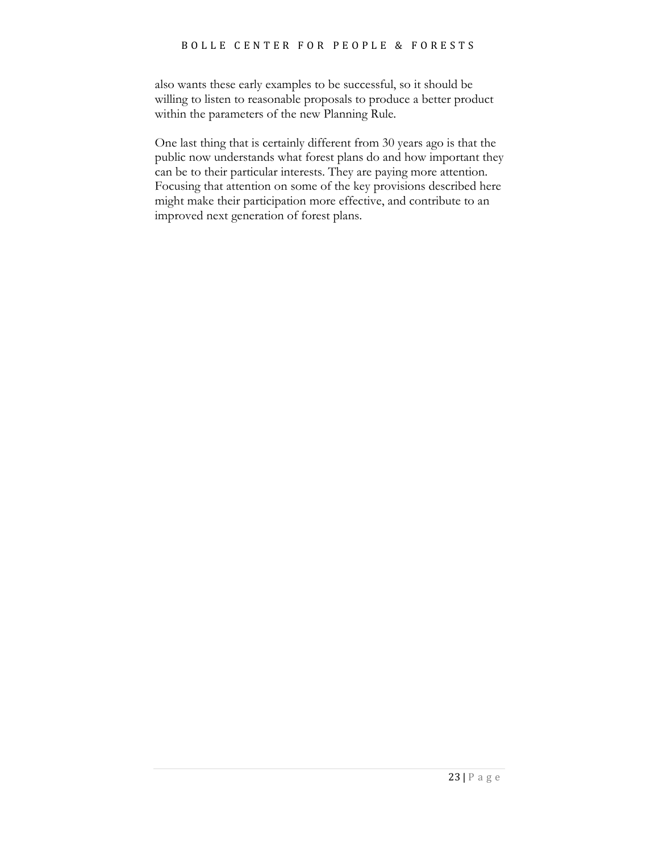also wants these early examples to be successful, so it should be willing to listen to reasonable proposals to produce a better product within the parameters of the new Planning Rule.

One last thing that is certainly different from 30 years ago is that the public now understands what forest plans do and how important they can be to their particular interests. They are paying more attention. Focusing that attention on some of the key provisions described here might make their participation more effective, and contribute to an improved next generation of forest plans.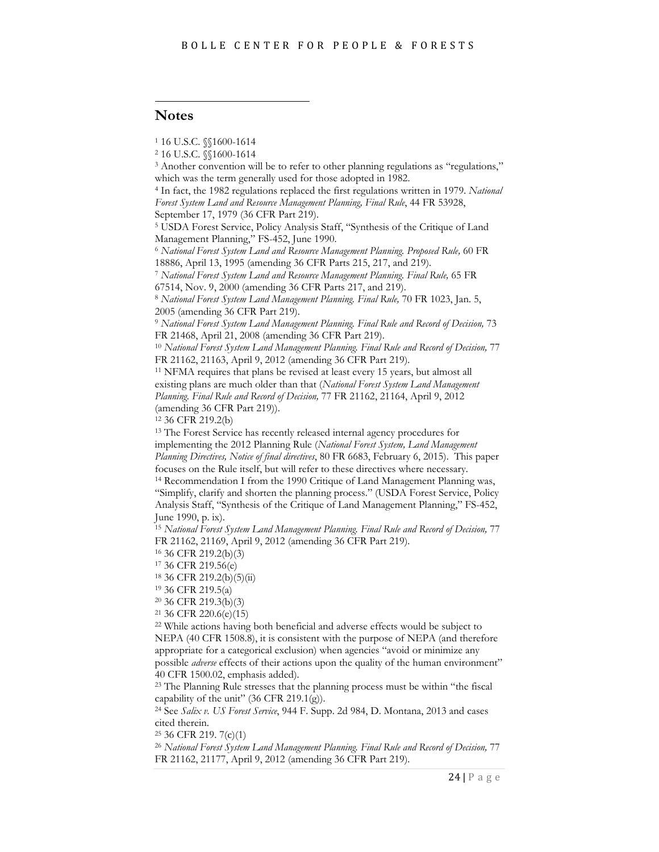#### i<br>I **Notes**

<sup>1</sup> 16 U.S.C. §§1600-1614

<sup>3</sup> Another convention will be to refer to other planning regulations as "regulations," which was the term generally used for those adopted in 1982.

<sup>4</sup> In fact, the 1982 regulations replaced the first regulations written in 1979. *National Forest System Land and Resource Management Planning, Final Rule*, 44 FR 53928, September 17, 1979 (36 CFR Part 219).

<sup>5</sup> USDA Forest Service, Policy Analysis Staff, "Synthesis of the Critique of Land Management Planning," FS-452, June 1990.

<sup>6</sup> *National Forest System Land and Resource Management Planning. Proposed Rule,* 60 FR

18886, April 13, 1995 (amending 36 CFR Parts 215, 217, and 219). 7 *National Forest System Land and Resource Management Planning. Final Rule,* 65 FR 67514, Nov. 9, 2000 (amending 36 CFR Parts 217, and 219).

<sup>8</sup> *National Forest System Land Management Planning. Final Rule,* 70 FR 1023, Jan. 5, 2005 (amending 36 CFR Part 219).

<sup>9</sup> *National Forest System Land Management Planning. Final Rule and Record of Decision,* 73 FR 21468, April 21, 2008 (amending 36 CFR Part 219).

<sup>10</sup> *National Forest System Land Management Planning. Final Rule and Record of Decision,* 77 FR 21162, 21163, April 9, 2012 (amending 36 CFR Part 219).

<sup>11</sup> NFMA requires that plans be revised at least every 15 years, but almost all existing plans are much older than that (*National Forest System Land Management Planning. Final Rule and Record of Decision,* 77 FR 21162, 21164, April 9, 2012 (amending 36 CFR Part 219)).

<sup>12</sup> 36 CFR 219.2(b)

<sup>13</sup> The Forest Service has recently released internal agency procedures for implementing the 2012 Planning Rule (*National Forest System, Land Management Planning Directives, Notice of final directives*, 80 FR 6683, February 6, 2015). This paper focuses on the Rule itself, but will refer to these directives where necessary. <sup>14</sup> Recommendation I from the 1990 Critique of Land Management Planning was, "Simplify, clarify and shorten the planning process." (USDA Forest Service, Policy Analysis Staff, "Synthesis of the Critique of Land Management Planning," FS-452,

June 1990, p. ix).

<sup>15</sup> *National Forest System Land Management Planning. Final Rule and Record of Decision,* 77 FR 21162, 21169, April 9, 2012 (amending 36 CFR Part 219). 16 36 CFR 219.2(b)(3)

<sup>17</sup> 36 CFR 219.56(e)

<sup>18</sup> 36 CFR 219.2(b)(5)(ii)

<sup>19</sup> 36 CFR 219.5(a)

<sup>20</sup> 36 CFR 219.3(b)(3)

<sup>21</sup> 36 CFR 220.6(e)(15)

<sup>22</sup> While actions having both beneficial and adverse effects would be subject to NEPA (40 CFR 1508.8), it is consistent with the purpose of NEPA (and therefore appropriate for a categorical exclusion) when agencies "avoid or minimize any possible *adverse* effects of their actions upon the quality of the human environment" 40 CFR 1500.02, emphasis added). 23 The Planning process must be within "the fiscal

capability of the unit"  $(36 \text{ CFR } 219.1 \text{ (g)}).$ 

<sup>24</sup> See *Salix v. US Forest Service*, 944 F. Supp. 2d 984, D. Montana, 2013 and cases cited therein.

<sup>25</sup> 36 CFR 219. 7(c)(1)

<sup>26</sup> *National Forest System Land Management Planning. Final Rule and Record of Decision,* 77 FR 21162, 21177, April 9, 2012 (amending 36 CFR Part 219).

<sup>2</sup> 16 U.S.C. §§1600-1614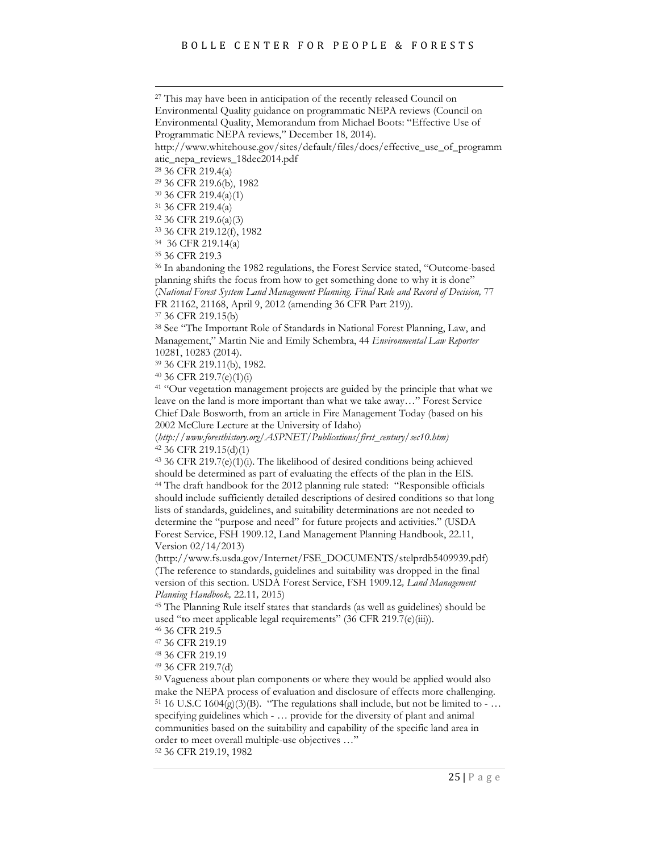<span id="page-24-0"></span><sup>27</sup> This may have been in anticipation of the recently released Council on Environmental Quality guidance on programmatic NEPA reviews (Council on Environmental Quality, Memorandum from Michael Boots: "Effective Use of

Programmatic NEPA reviews," December 18, 2014).

<span id="page-24-1"></span>http://www.whitehouse.gov/sites/default/files/docs/effective\_use\_of\_programm atic\_nepa\_reviews\_18dec2014.pdf

<span id="page-24-2"></span><sup>28</sup> 36 CFR 219.4(a)

<sup>29</sup> 36 CFR 219.6(b), 1982

<span id="page-24-3"></span><sup>30</sup> 36 CFR 219.4(a)(1)

<sup>31</sup> 36 CFR 219.4(a)

<sup>32</sup> 36 CFR 219.6(a)(3)

<sup>33</sup> 36 CFR 219.12(f), 1982

<span id="page-24-5"></span><span id="page-24-4"></span>34 36 CFR 219.14(a)

<sup>35</sup> 36 CFR 219.3

<span id="page-24-6"></span><sup>36</sup> In abandoning the 1982 regulations, the Forest Service stated, "Outcome-based planning shifts the focus from how to get something done to why it is done" (*National Forest System Land Management Planning. Final Rule and Record of Decision,* 77

<span id="page-24-7"></span>FR 21162, 21168, April 9, 2012 (amending 36 CFR Part 219)). 37 36 CFR 219.15(b)

<span id="page-24-8"></span><sup>38</sup> See "The Important Role of Standards in National Forest Planning, Law, and Management," Martin Nie and Emily Schembra, 44 *Environmental Law Reporter* 10281, 10283 (2014).

<span id="page-24-9"></span><sup>39</sup> 36 CFR 219.11(b), 1982.

<span id="page-24-10"></span><sup>40</sup> 36 CFR 219.7(e)(1)(i)

<sup>41</sup> "Our vegetation management projects are guided by the principle that what we leave on the land is more important than what we take away…" Forest Service Chief Dale Bosworth, from an article in Fire Management Today (based on his 2002 McClure Lecture at the University of Idaho)

(*http://www.foresthistory.org/ASPNET/Publications/first\_century/sec10.htm)*  <sup>42</sup> 36 CFR 219.15(d)(1)

<sup>43</sup> 36 CFR 219.7(e)(1)(i). The likelihood of desired conditions being achieved should be determined as part of evaluating the effects of the plan in the EIS. <sup>44</sup> The draft handbook for the 2012 planning rule stated: "Responsible officials should include sufficiently detailed descriptions of desired conditions so that long lists of standards, guidelines, and suitability determinations are not needed to determine the "purpose and need" for future projects and activities." (USDA Forest Service, FSH 1909.12, Land Management Planning Handbook, 22.11, Version 02/14/2013)

(http://www.fs.usda.gov/Internet/FSE\_DOCUMENTS/stelprdb5409939.pdf) (The reference to standards, guidelines and suitability was dropped in the final version of this section. USDA Forest Service, FSH 1909.12*, Land Management Planning Handbook,* 22.11*,* 2015)

<sup>45</sup> The Planning Rule itself states that standards (as well as guidelines) should be used "to meet applicable legal requirements" (36 CFR 219.7(e)(iii)).

<sup>46</sup> 36 CFR 219.5

<sup>47</sup> 36 CFR 219.19

<sup>48</sup> 36 CFR 219.19

<sup>49</sup> 36 CFR 219.7(d)

<sup>50</sup> Vagueness about plan components or where they would be applied would also make the NEPA process of evaluation and disclosure of effects more challenging. <sup>51</sup> 16 U.S.C 1604(g)(3)(B). "The regulations shall include, but not be limited to - ... specifying guidelines which - … provide for the diversity of plant and animal communities based on the suitability and capability of the specific land area in order to meet overall multiple-use objectives …"

<sup>52</sup> 36 CFR 219.19, 1982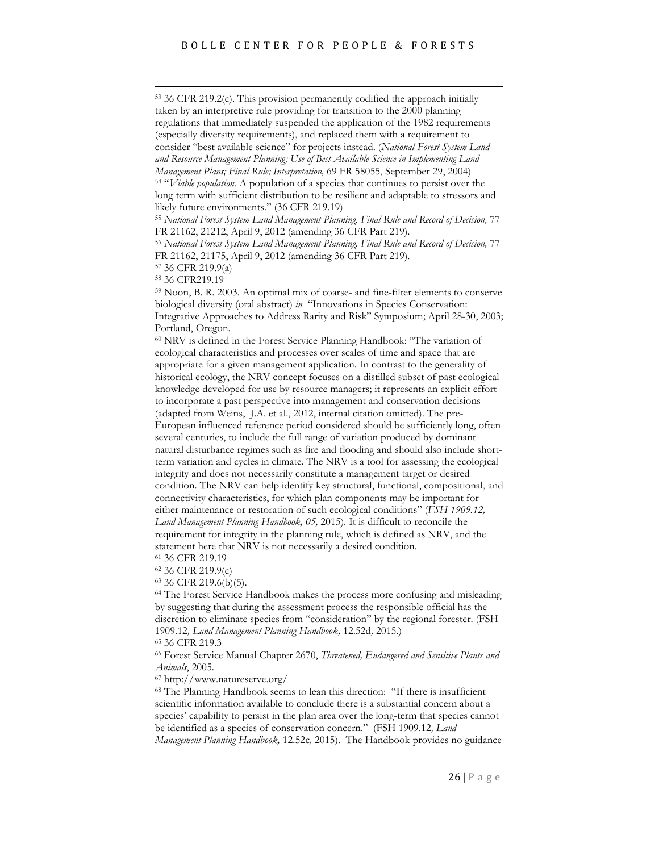<sup>53</sup> 36 CFR 219.2(c). This provision permanently codified the approach initially taken by an interpretive rule providing for transition to the 2000 planning regulations that immediately suspended the application of the 1982 requirements (especially diversity requirements), and replaced them with a requirement to consider "best available science" for projects instead. (*National Forest System Land and Resource Management Planning; Use of Best Available Science in Implementing Land Management Plans; Final Rule; Interpretation,* 69 FR 58055, September 29, 2004) <sup>54</sup> "*Viable population.* A population of a species that continues to persist over the long term with sufficient distribution to be resilient and adaptable to stressors and likely future environments." (36 CFR 219.19) <sup>55</sup> *National Forest System Land Management Planning. Final Rule and Record of Decision,* 77 FR 21162, 21212, April 9, 2012 (amending 36 CFR Part 219). <sup>56</sup> *National Forest System Land Management Planning. Final Rule and Record of Decision,* 77 FR 21162, 21175, April 9, 2012 (amending 36 CFR Part 219). <sup>57</sup> 36 CFR 219.9(a) <sup>58</sup> 36 CFR219.19 <sup>59</sup> Noon, B. R. 2003. An optimal mix of coarse- and fine-filter elements to conserve biological diversity (oral abstract) *in* "Innovations in Species Conservation: Integrative Approaches to Address Rarity and Risk" Symposium; April 28-30, 2003; Portland, Oregon. <sup>60</sup> NRV is defined in the Forest Service Planning Handbook: "The variation of ecological characteristics and processes over scales of time and space that are appropriate for a given management application. In contrast to the generality of historical ecology, the NRV concept focuses on a distilled subset of past ecological knowledge developed for use by resource managers; it represents an explicit effort to incorporate a past perspective into management and conservation decisions (adapted from Weins, J.A. et al., 2012, internal citation omitted). The pre-European influenced reference period considered should be sufficiently long, often several centuries, to include the full range of variation produced by dominant natural disturbance regimes such as fire and flooding and should also include shortterm variation and cycles in climate. The NRV is a tool for assessing the ecological integrity and does not necessarily constitute a management target or desired condition. The NRV can help identify key structural, functional, compositional, and connectivity characteristics, for which plan components may be important for either maintenance or restoration of such ecological conditions" (*FSH 1909.12, Land Management Planning Handbook, 05,* 2015). It is difficult to reconcile the requirement for integrity in the planning rule, which is defined as NRV, and the statement here that NRV is not necessarily a desired condition.

<span id="page-25-3"></span><span id="page-25-2"></span><span id="page-25-1"></span><span id="page-25-0"></span><sup>61</sup> 36 CFR 219.19

<sup>62</sup> 36 CFR 219.9(c)

<sup>63</sup> 36 CFR 219.6(b)(5).

<sup>64</sup> The Forest Service Handbook makes the process more confusing and misleading by suggesting that during the assessment process the responsible official has the discretion to eliminate species from "consideration" by the regional forester. (FSH 1909.12*, Land Management Planning Handbook,* 12.52d*,* 2015.)

<sup>65</sup> 36 CFR 219.3

<sup>66</sup> Forest Service Manual Chapter 2670, *Threatened, Endangered and Sensitive Plants and Animals*, 2005.

<sup>67</sup> http://www.natureserve.org/

<sup>68</sup> The Planning Handbook seems to lean this direction: "If there is insufficient scientific information available to conclude there is a substantial concern about a species' capability to persist in the plan area over the long-term that species cannot be identified as a species of conservation concern." (FSH 1909.12*, Land Management Planning Handbook,* 12.52c*,* 2015). The Handbook provides no guidance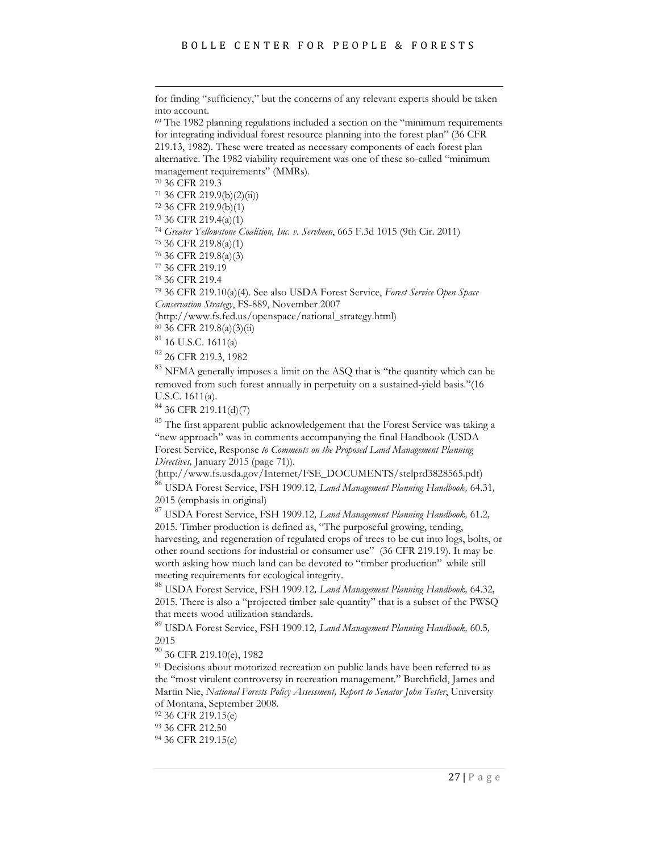for finding "sufficiency," but the concerns of any relevant experts should be taken into account.<br> $69$  The 1982 planning regulations included a section on the "minimum requirements"

for integrating individual forest resource planning into the forest plan" (36 CFR 219.13, 1982). These were treated as necessary components of each forest plan alternative. The 1982 viability requirement was one of these so-called "minimum management requirements" (MMRs).

<sup>70</sup> 36 CFR 219.3

 $71$  36 CFR 219.9(b)(2)(ii))

<sup>72</sup> 36 CFR 219.9(b)(1)

<sup>73</sup> 36 CFR 219.4(a)(1)

<sup>74</sup> *Greater Yellowstone Coalition, Inc. v. Servheen*, 665 F.3d 1015 (9th Cir. 2011)

<sup>75</sup> 36 CFR 219.8(a)(1)

<sup>76</sup> 36 CFR 219.8(a)(3)

<sup>77</sup> 36 CFR 219.19

<sup>78</sup> 36 CFR 219.4

<sup>79</sup> 36 CFR 219.10(a)(4). See also USDA Forest Service, *Forest Service Open Space Conservation Strategy*, FS-889, November 2007

(http://www.fs.fed.us/openspace/national\_strategy.html)

<sup>80</sup> 36 CFR 219.8(a)(3)(ii)

<sup>81</sup> 16 U.S.C. 1611(a)

<sup>82</sup> 26 CFR 219.3, 1982

<sup>83</sup> NFMA generally imposes a limit on the ASQ that is "the quantity which can be removed from such forest annually in perpetuity on a sustained-yield basis."(16 U.S.C. 1611(a).

<sup>84</sup> 36 CFR 219.11(d)(7)

<sup>85</sup> The first apparent public acknowledgement that the Forest Service was taking a "new approach" was in comments accompanying the final Handbook (USDA Forest Service, Response *to Comments on the Proposed Land Management Planning Directives,* January 2015 (page 71)).

(http://www.fs.usda.gov/Internet/FSE\_DOCUMENTS/stelprd3828565.pdf)

<sup>86</sup> USDA Forest Service, FSH 1909.12*, Land Management Planning Handbook,* 64.31*,*  2015 (emphasis in original)

<sup>87</sup> USDA Forest Service, FSH 1909.12*, Land Management Planning Handbook,* 61.2*,*  2015. Timber production is defined as, "The purposeful growing, tending, harvesting, and regeneration of regulated crops of trees to be cut into logs, bolts, or other round sections for industrial or consumer use" (36 CFR 219.19). It may be worth asking how much land can be devoted to "timber production" while still meeting requirements for ecological integrity.

<span id="page-26-4"></span><span id="page-26-3"></span><span id="page-26-2"></span><span id="page-26-1"></span><span id="page-26-0"></span><sup>88</sup> USDA Forest Service, FSH 1909.12*, Land Management Planning Handbook,* 64.32*,*  2015. There is also a "projected timber sale quantity" that is a subset of the PWSQ that meets wood utilization standards.

<sup>89</sup> USDA Forest Service, FSH 1909.12*, Land Management Planning Handbook,* 60.5*,*  2015

<sup>90</sup> 36 CFR 219.10(e), 1982

<sup>91</sup> Decisions about motorized recreation on public lands have been referred to as the "most virulent controversy in recreation management." Burchfield, James and Martin Nie, *National Forests Policy Assessment, Report to Senator John Tester*, University of Montana, September 2008. 92 36 CFR 219.15(e)

93 36 CFR 212.50

<sup>94</sup> 36 CFR 219.15(e)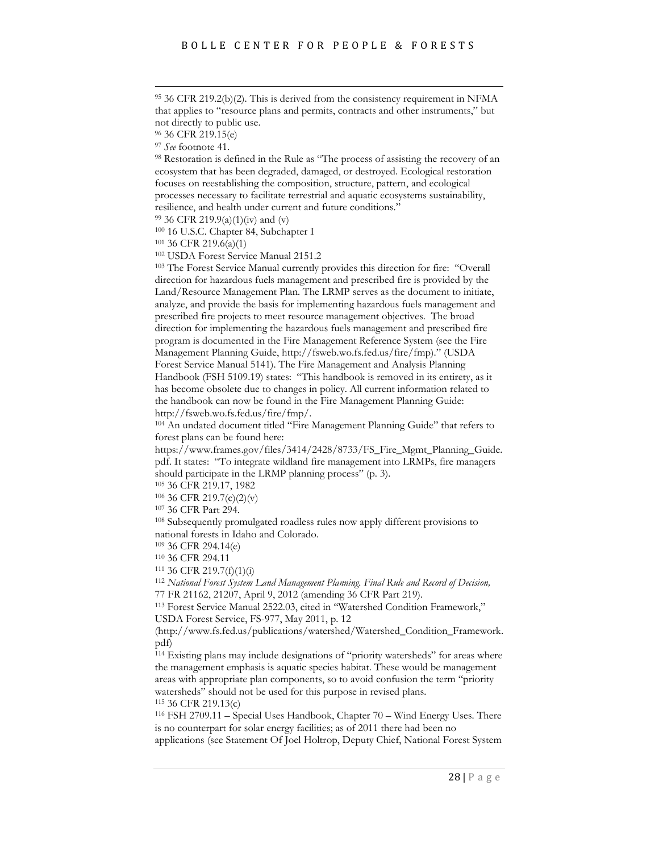<span id="page-27-6"></span> <sup>95</sup> 36 CFR 219.2(b)(2). This is derived from the consistency requirement in NFMA that applies to "resource plans and permits, contracts and other instruments," but not directly to public use.

<span id="page-27-8"></span><span id="page-27-7"></span><sup>98</sup> Restoration is defined in the Rule as "The process of assisting the recovery of an ecosystem that has been degraded, damaged, or destroyed. Ecological restoration focuses on reestablishing the composition, structure, pattern, and ecological processes necessary to facilitate terrestrial and aquatic ecosystems sustainability, resilience, and health under current and future conditions."

<span id="page-27-11"></span><span id="page-27-10"></span><span id="page-27-9"></span><sup>99</sup> 36 CFR 219.9(a)(1)(iv) and (v)

<sup>100</sup> 16 U.S.C. Chapter 84, Subchapter I

<sup>101</sup> 36 CFR 219.6(a)(1)

<sup>102</sup> USDA Forest Service Manual 2151.2

<sup>103</sup> The Forest Service Manual currently provides this direction for fire: "Overall direction for hazardous fuels management and prescribed fire is provided by the Land/Resource Management Plan. The LRMP serves as the document to initiate, analyze, and provide the basis for implementing hazardous fuels management and prescribed fire projects to meet resource management objectives. The broad direction for implementing the hazardous fuels management and prescribed fire program is documented in the Fire Management Reference System (see the Fire Management Planning Guide, http://fsweb.wo.fs.fed.us/fire/fmp)." (USDA Forest Service Manual 5141). The Fire Management and Analysis Planning Handbook (FSH 5109.19) states: "This handbook is removed in its entirety, as it has become obsolete due to changes in policy. All current information related to the handbook can now be found in the Fire Management Planning Guide: http://fsweb.wo.fs.fed.us/fire/fmp/.

<sup>104</sup> An undated document titled "Fire Management Planning Guide" that refers to forest plans can be found here:

https://www.frames.gov/files/3414/2428/8733/FS\_Fire\_Mgmt\_Planning\_Guide. pdf. It states: "To integrate wildland fire management into LRMPs, fire managers should participate in the LRMP planning process" (p. 3).

<sup>105</sup> 36 CFR 219.17, 1982

<sup>106</sup> 36 CFR 219.7(c)(2)(v)

 $107$  36 CFR Part 294.<br> $108$  Subsequently promulgated roadless rules now apply different provisions to national forests in Idaho and Colorado.

<sup>109</sup> 36 CFR 294.14(e) 110 36 CFR 294.11 111 36 CFR 219.7(f)(1)(i) 112 *National Forest System Land Management Planning. Final Rule and Record of Decision,* 77 FR 21162, 21207, April 9, 2012 (amending 36 CFR Part 219).

<sup>113</sup> Forest Service Manual 2522.03, cited in "Watershed Condition Framework," USDA Forest Service, FS-977, May 2011, p. 12

<span id="page-27-1"></span><span id="page-27-0"></span>(http://www.fs.fed.us/publications/watershed/Watershed\_Condition\_Framework. pdf)

<sup>114</sup> Existing plans may include designations of "priority watersheds" for areas where the management emphasis is aquatic species habitat. These would be management areas with appropriate plan components, so to avoid confusion the term "priority watersheds" should not be used for this purpose in revised plans. <sup>115</sup> 36 CFR 219.13(c)

<span id="page-27-5"></span><span id="page-27-4"></span><span id="page-27-3"></span><span id="page-27-2"></span><sup>116</sup> FSH 2709.11 – Special Uses Handbook, Chapter 70 – Wind Energy Uses. There is no counterpart for solar energy facilities; as of 2011 there had been no applications (see Statement Of Joel Holtrop, Deputy Chief, National Forest System

<sup>96</sup> 36 CFR 219.15(e)

<sup>97</sup> *See* footnote 41.